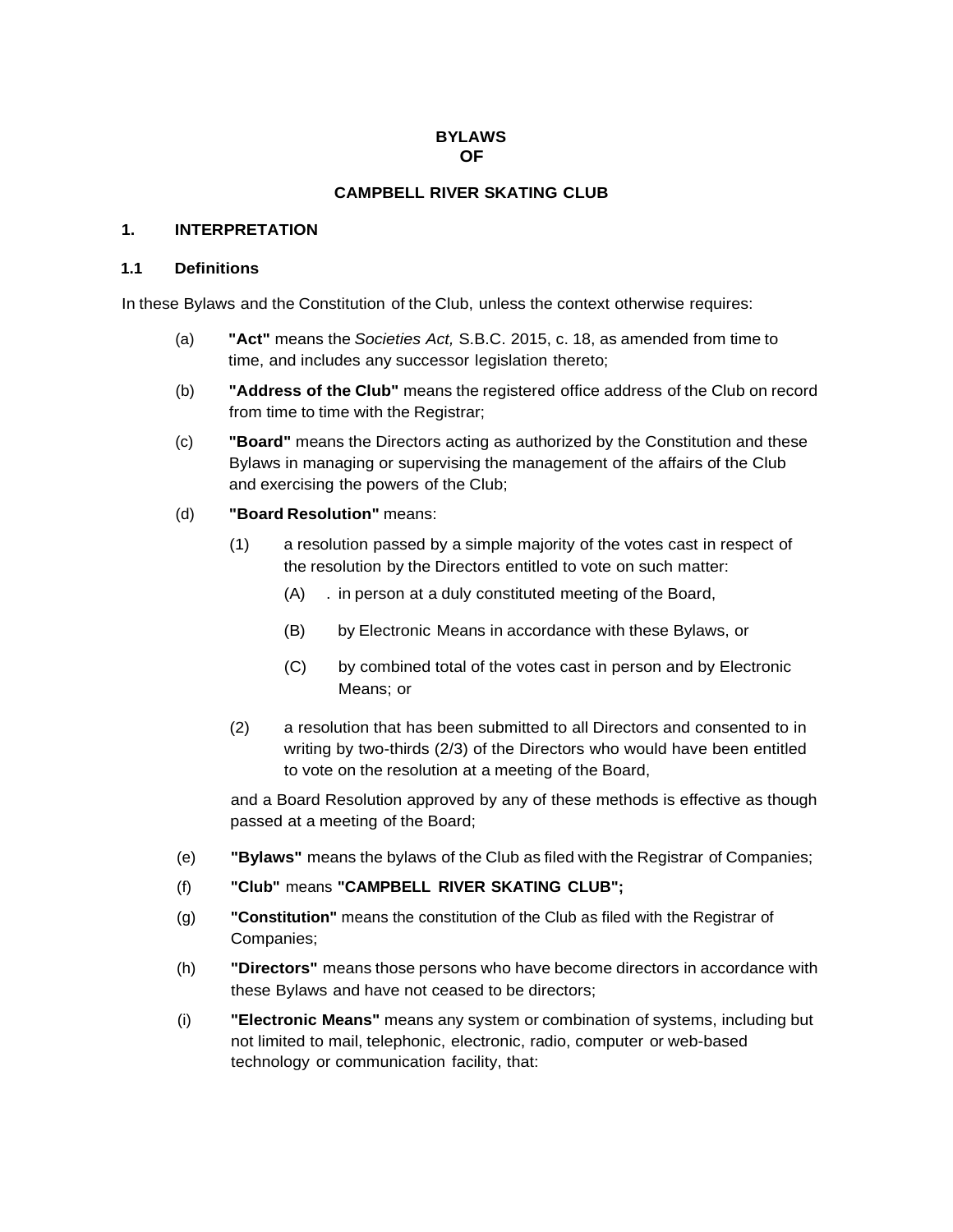#### **BYLAWS OF**

### **CAMPBELL RIVER SKATING CLUB**

#### **1. INTERPRETATION**

#### **1.1 Definitions**

In these Bylaws and the Constitution of the Club, unless the context otherwise requires:

- (a) **"Act"** means the *Societies Act,* S.B.C. 2015, c. 18, as amended from time to time, and includes any successor legislation thereto;
- (b) **"Address of the Club"** means the registered office address of the Club on record from time to time with the Registrar;
- (c) **"Board"** means the Directors acting as authorized by the Constitution and these Bylaws in managing or supervising the management of the affairs of the Club and exercising the powers of the Club;
- (d) **"Board Resolution"** means:
	- (1) a resolution passed by a simple majority of the votes cast in respect of the resolution by the Directors entitled to vote on such matter:
		- (A) . in person at a duly constituted meeting of the Board,
		- (B) by Electronic Means in accordance with these Bylaws, or
		- (C) by combined total of the votes cast in person and by Electronic Means; or
	- (2) a resolution that has been submitted to all Directors and consented to in writing by two-thirds (2/3) of the Directors who would have been entitled to vote on the resolution at a meeting of the Board,

and a Board Resolution approved by any of these methods is effective as though passed at a meeting of the Board;

- (e) **"Bylaws"** means the bylaws of the Club as filed with the Registrar of Companies;
- (f) **"Club"** means **"CAMPBELL RIVER SKATING CLUB";**
- (g) **"Constitution"** means the constitution of the Club as filed with the Registrar of Companies;
- (h) **"Directors"** means those persons who have become directors in accordance with these Bylaws and have not ceased to be directors;
- (i) **"Electronic Means"** means any system or combination of systems, including but not limited to mail, telephonic, electronic, radio, computer or web-based technology or communication facility, that: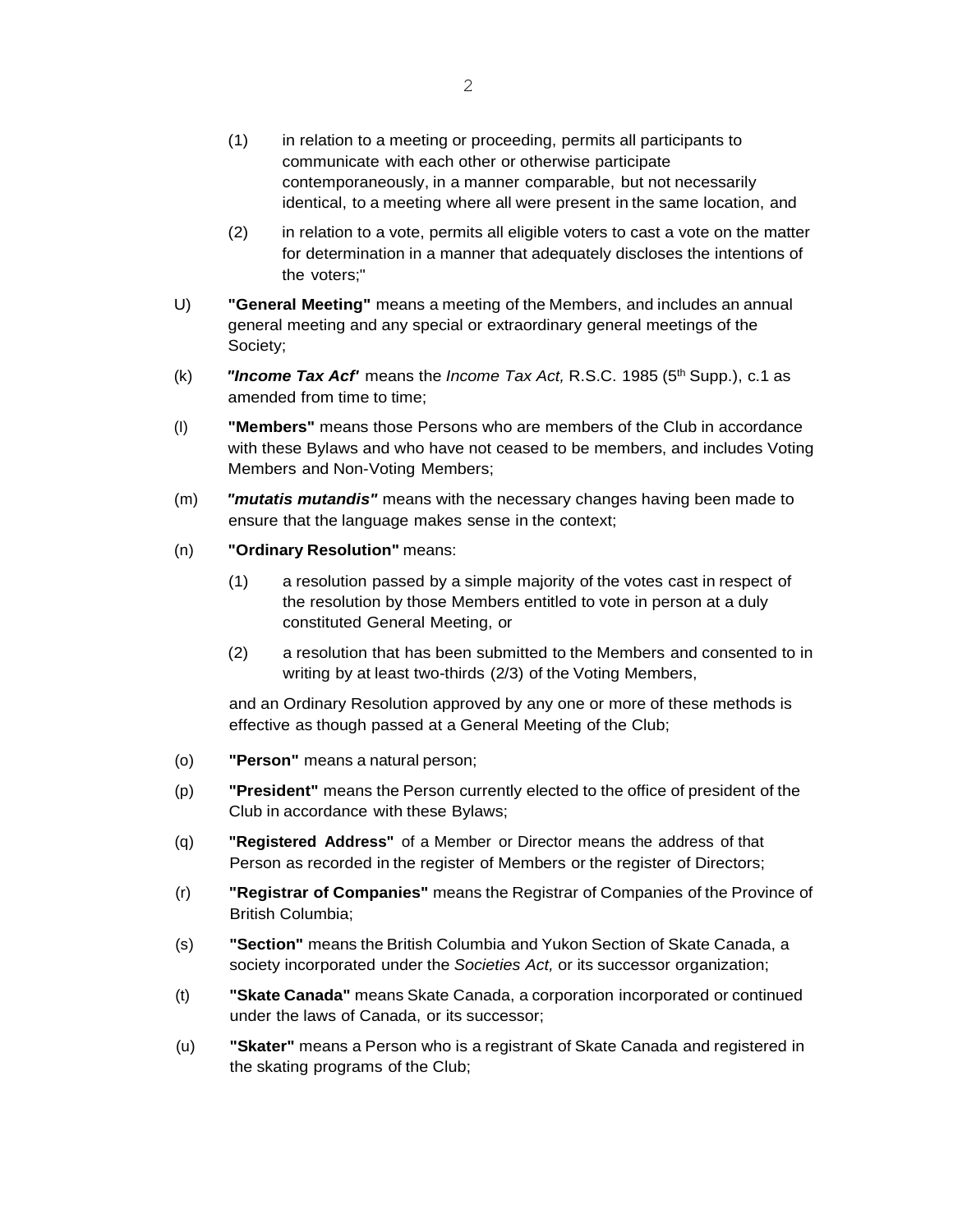- (1) in relation to a meeting or proceeding, permits all participants to communicate with each other or otherwise participate contemporaneously, in a manner comparable, but not necessarily identical, to a meeting where all were present in the same location, and
- (2) in relation to a vote, permits all eligible voters to cast a vote on the matter for determination in a manner that adequately discloses the intentions of the voters;"
- U) **"General Meeting"** means a meeting of the Members, and includes an annual general meeting and any special or extraordinary general meetings of the Society;
- (k) *"Income Tax Acf'* means the *Income Tax Act,* R.S.C. 1985 (5th Supp.), c.1 as amended from time to time:
- (I) **"Members"** means those Persons who are members of the Club in accordance with these Bylaws and who have not ceased to be members, and includes Voting Members and Non-Voting Members;
- (m) *"mutatis mutandis"* means with the necessary changes having been made to ensure that the language makes sense in the context;
- (n) **"Ordinary Resolution"** means:
	- (1) a resolution passed by a simple majority of the votes cast in respect of the resolution by those Members entitled to vote in person at a duly constituted General Meeting, or
	- (2) a resolution that has been submitted to the Members and consented to in writing by at least two-thirds (2/3) of the Voting Members,

and an Ordinary Resolution approved by any one or more of these methods is effective as though passed at a General Meeting of the Club;

- (o) **"Person"** means a natural person;
- (p) **"President"** means the Person currently elected to the office of president of the Club in accordance with these Bylaws;
- (q) **"Registered Address"** of a Member or Director means the address of that Person as recorded in the register of Members or the register of Directors;
- (r) **"Registrar of Companies"** means the Registrar of Companies of the Province of British Columbia;
- (s) **"Section"** means the British Columbia and Yukon Section of Skate Canada, a society incorporated under the *Societies Act,* or its successor organization;
- (t) **"Skate Canada"** means Skate Canada, a corporation incorporated or continued under the laws of Canada, or its successor;
- (u) **"Skater"** means a Person who is a registrant of Skate Canada and registered in the skating programs of the Club;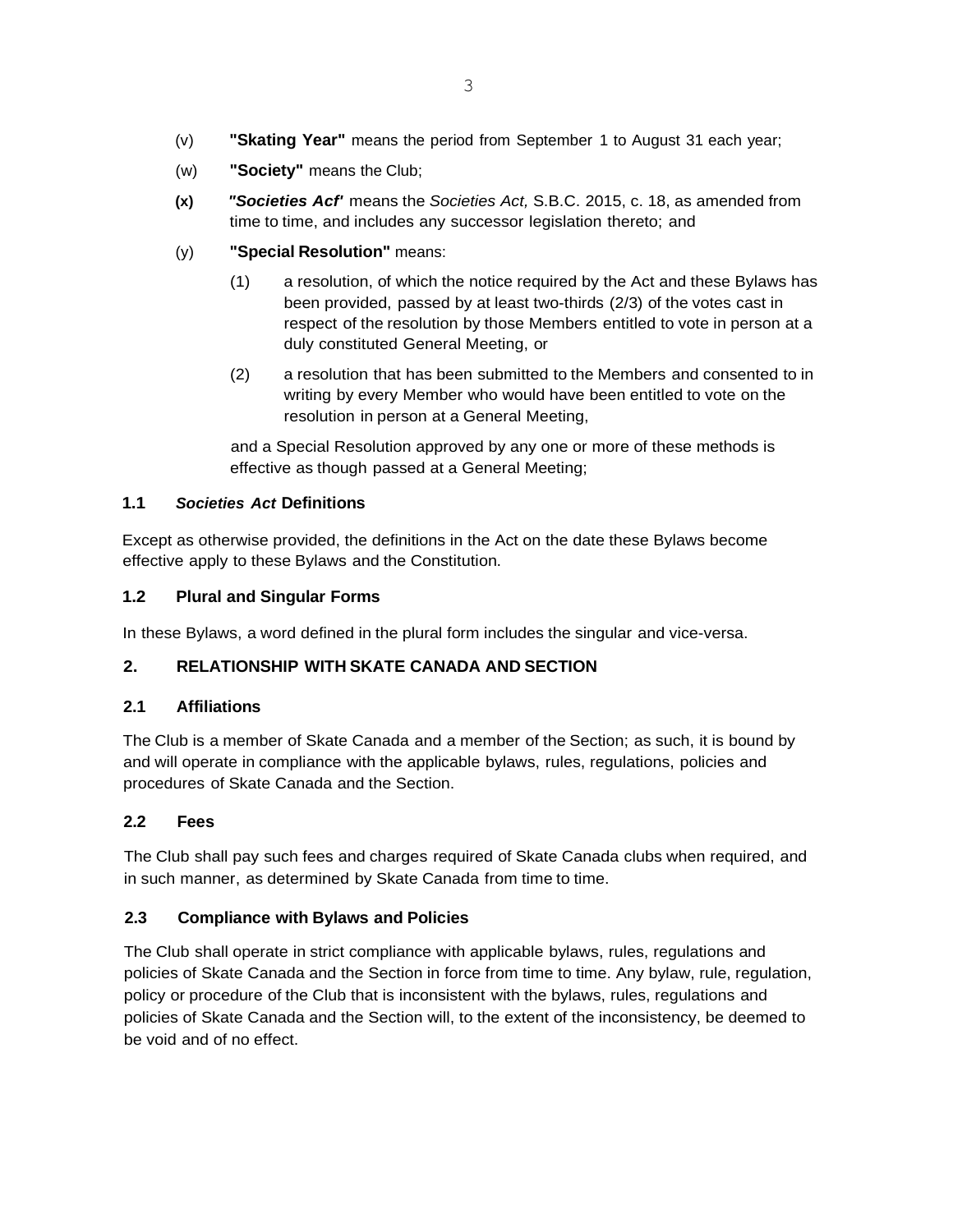- (v) **"Skating Year"** means the period from September 1 to August 31 each year;
- (w) **"Society"** means the Club;
- **(x)** *"Societies Acf'* means the *Societies Act,* S.B.C. 2015, c. 18, as amended from time to time, and includes any successor legislation thereto; and
- (y) **"Special Resolution"** means:
	- (1) a resolution, of which the notice required by the Act and these Bylaws has been provided, passed by at least two-thirds (2/3) of the votes cast in respect of the resolution by those Members entitled to vote in person at a duly constituted General Meeting, or
	- (2) a resolution that has been submitted to the Members and consented to in writing by every Member who would have been entitled to vote on the resolution in person at a General Meeting,

and a Special Resolution approved by any one or more of these methods is effective as though passed at a General Meeting;

### **1.1** *Societies Act* **Definitions**

Except as otherwise provided, the definitions in the Act on the date these Bylaws become effective apply to these Bylaws and the Constitution.

#### **1.2 Plural and Singular Forms**

In these Bylaws, a word defined in the plural form includes the singular and vice-versa.

### **2. RELATIONSHIP WITH SKATE CANADA AND SECTION**

### **2.1 Affiliations**

The Club is a member of Skate Canada and a member of the Section; as such, it is bound by and will operate in compliance with the applicable bylaws, rules, regulations, policies and procedures of Skate Canada and the Section.

### **2.2 Fees**

The Club shall pay such fees and charges required of Skate Canada clubs when required, and in such manner, as determined by Skate Canada from time to time.

### **2.3 Compliance with Bylaws and Policies**

The Club shall operate in strict compliance with applicable bylaws, rules, regulations and policies of Skate Canada and the Section in force from time to time. Any bylaw, rule, regulation, policy or procedure of the Club that is inconsistent with the bylaws, rules, regulations and policies of Skate Canada and the Section will, to the extent of the inconsistency, be deemed to be void and of no effect.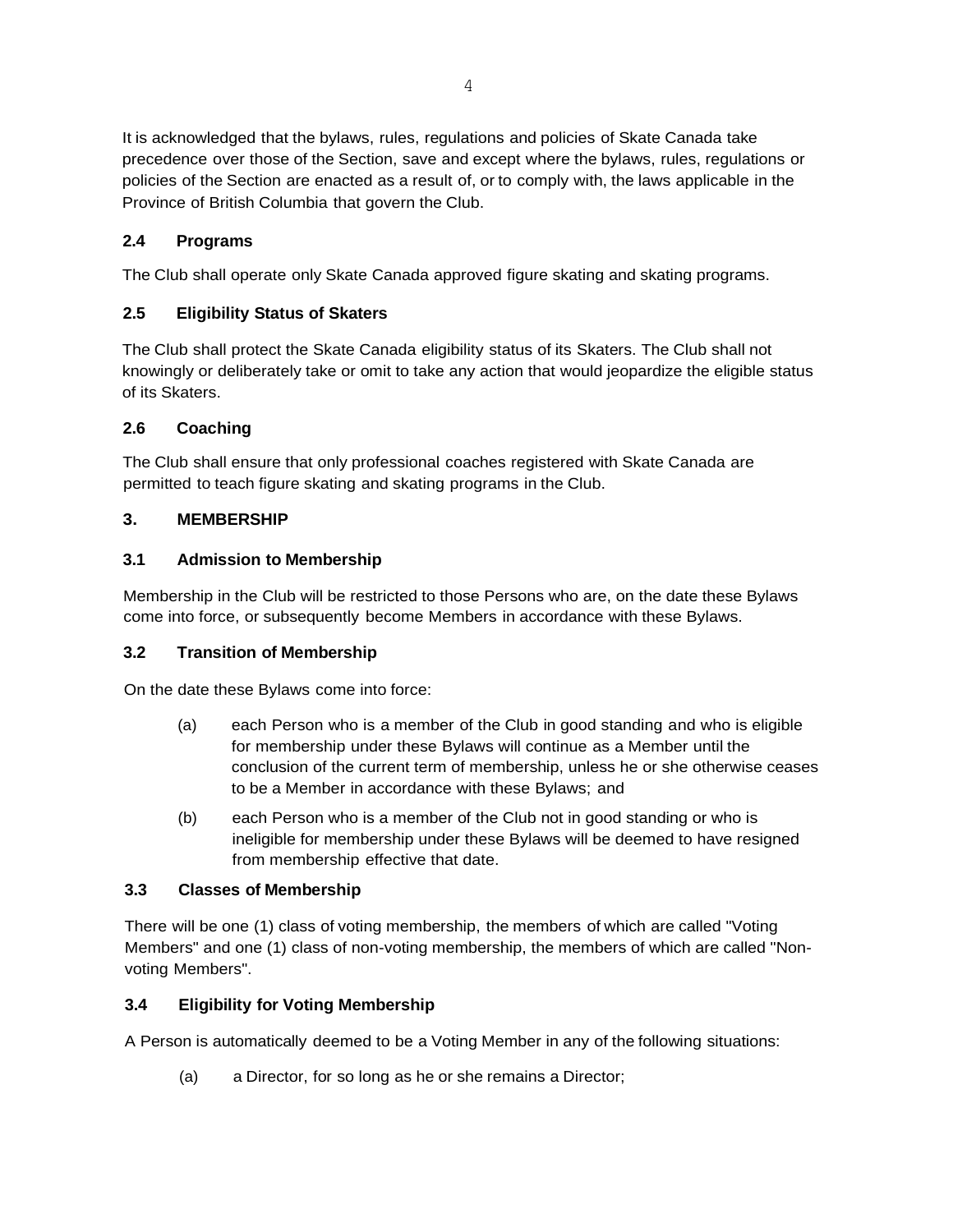It is acknowledged that the bylaws, rules, regulations and policies of Skate Canada take precedence over those of the Section, save and except where the bylaws, rules, regulations or policies of the Section are enacted as a result of, or to comply with, the laws applicable in the Province of British Columbia that govern the Club.

# **2.4 Programs**

The Club shall operate only Skate Canada approved figure skating and skating programs.

# **2.5 Eligibility Status of Skaters**

The Club shall protect the Skate Canada eligibility status of its Skaters. The Club shall not knowingly or deliberately take or omit to take any action that would jeopardize the eligible status of its Skaters.

## **2.6 Coaching**

The Club shall ensure that only professional coaches registered with Skate Canada are permitted to teach figure skating and skating programs in the Club.

## **3. MEMBERSHIP**

## **3.1 Admission to Membership**

Membership in the Club will be restricted to those Persons who are, on the date these Bylaws come into force, or subsequently become Members in accordance with these Bylaws.

## **3.2 Transition of Membership**

On the date these Bylaws come into force:

- (a) each Person who is a member of the Club in good standing and who is eligible for membership under these Bylaws will continue as a Member until the conclusion of the current term of membership, unless he or she otherwise ceases to be a Member in accordance with these Bylaws; and
- (b) each Person who is a member of the Club not in good standing or who is ineligible for membership under these Bylaws will be deemed to have resigned from membership effective that date.

## **3.3 Classes of Membership**

There will be one (1) class of voting membership, the members of which are called "Voting Members" and one (1) class of non-voting membership, the members of which are called "Nonvoting Members".

# **3.4 Eligibility for Voting Membership**

A Person is automatically deemed to be a Voting Member in any of the following situations:

(a) a Director, for so long as he or she remains a Director;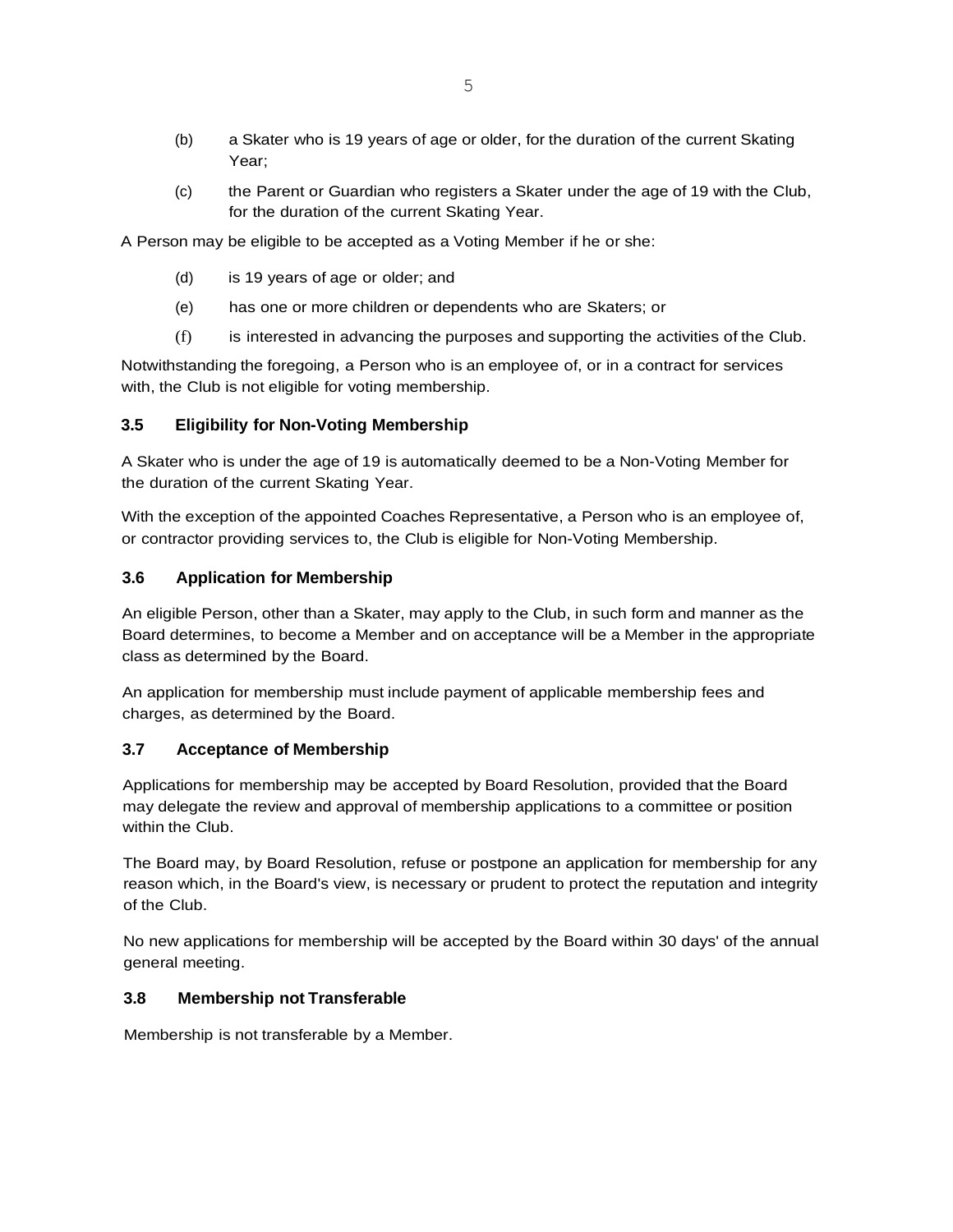- (b) a Skater who is 19 years of age or older, for the duration of the current Skating Year;
- (c) the Parent or Guardian who registers a Skater under the age of 19 with the Club, for the duration of the current Skating Year.

A Person may be eligible to be accepted as a Voting Member if he or she:

- (d) is 19 years of age or older; and
- (e) has one or more children or dependents who are Skaters; or
- (f) is interested in advancing the purposes and supporting the activities of the Club.

Notwithstanding the foregoing, a Person who is an employee of, or in a contract for services with, the Club is not eligible for voting membership.

### **3.5 Eligibility for Non-Voting Membership**

A Skater who is under the age of 19 is automatically deemed to be a Non-Voting Member for the duration of the current Skating Year.

With the exception of the appointed Coaches Representative, a Person who is an employee of, or contractor providing services to, the Club is eligible for Non-Voting Membership.

#### **3.6 Application for Membership**

An eligible Person, other than a Skater, may apply to the Club, in such form and manner as the Board determines, to become a Member and on acceptance will be a Member in the appropriate class as determined by the Board.

An application for membership must include payment of applicable membership fees and charges, as determined by the Board.

### **3.7 Acceptance of Membership**

Applications for membership may be accepted by Board Resolution, provided that the Board may delegate the review and approval of membership applications to a committee or position within the Club.

The Board may, by Board Resolution, refuse or postpone an application for membership for any reason which, in the Board's view, is necessary or prudent to protect the reputation and integrity of the Club.

No new applications for membership will be accepted by the Board within 30 days' of the annual general meeting.

#### **3.8 Membership not Transferable**

Membership is not transferable by a Member.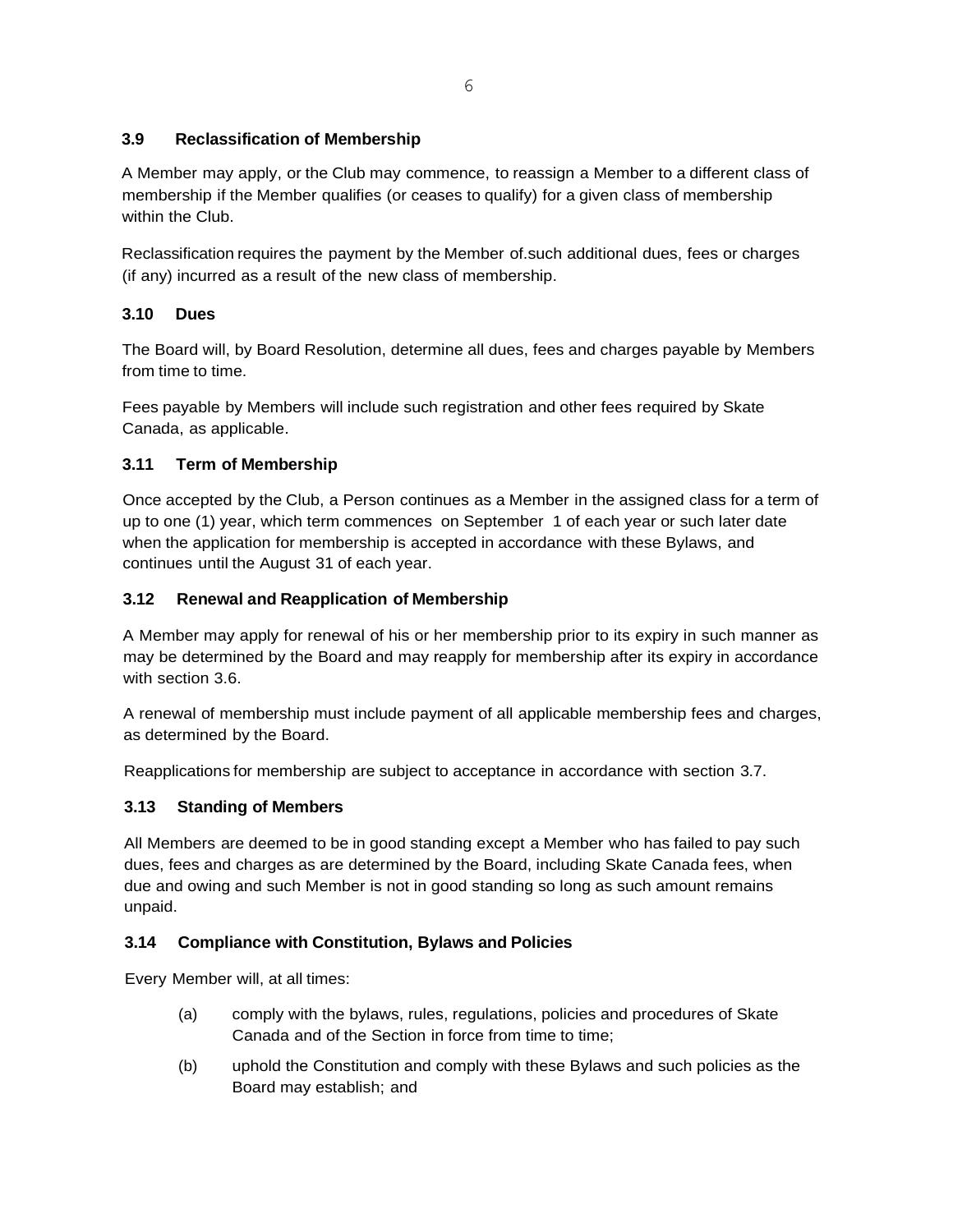## **3.9 Reclassification of Membership**

A Member may apply, or the Club may commence, to reassign a Member to a different class of membership if the Member qualifies (or ceases to qualify) for a given class of membership within the Club.

Reclassification requires the payment by the Member of such additional dues, fees or charges (if any) incurred as a result of the new class of membership.

## **3.10 Dues**

The Board will, by Board Resolution, determine all dues, fees and charges payable by Members from time to time.

Fees payable by Members will include such registration and other fees required by Skate Canada, as applicable.

## **3.11 Term of Membership**

Once accepted by the Club, a Person continues as a Member in the assigned class for a term of up to one (1) year, which term commences on September 1 of each year or such later date when the application for membership is accepted in accordance with these Bylaws, and continues until the August 31 of each year.

## **3.12 Renewal and Reapplication of Membership**

A Member may apply for renewal of his or her membership prior to its expiry in such manner as may be determined by the Board and may reapply for membership after its expiry in accordance with section 3.6.

A renewal of membership must include payment of all applicable membership fees and charges, as determined by the Board.

Reapplications for membership are subject to acceptance in accordance with section 3.7.

## **3.13 Standing of Members**

All Members are deemed to be in good standing except a Member who has failed to pay such dues, fees and charges as are determined by the Board, including Skate Canada fees, when due and owing and such Member is not in good standing so long as such amount remains unpaid.

## **3.14 Compliance with Constitution, Bylaws and Policies**

Every Member will, at all times:

- (a) comply with the bylaws, rules, regulations, policies and procedures of Skate Canada and of the Section in force from time to time;
- (b) uphold the Constitution and comply with these Bylaws and such policies as the Board may establish; and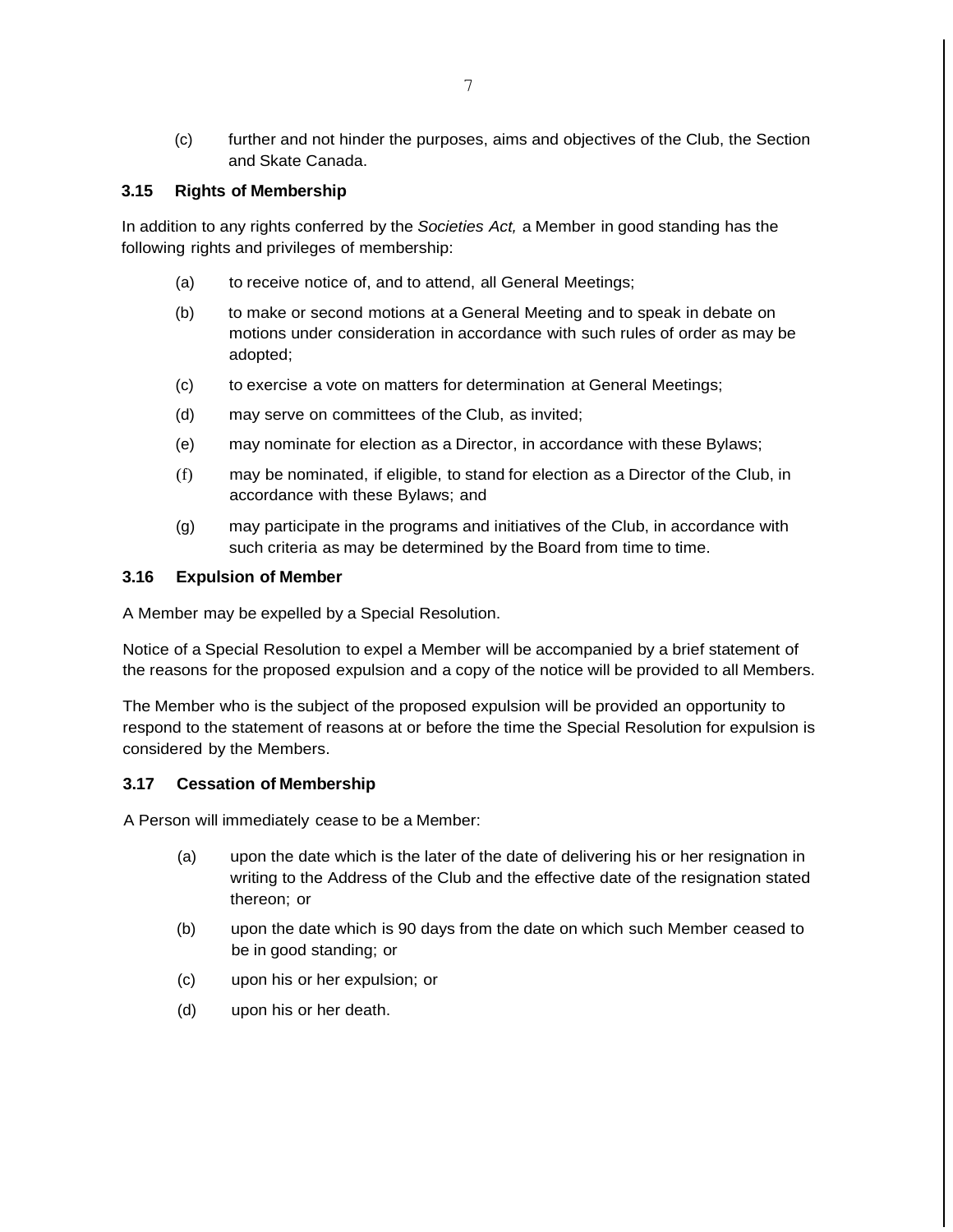(c) further and not hinder the purposes, aims and objectives of the Club, the Section and Skate Canada.

### **3.15 Rights of Membership**

In addition to any rights conferred by the *Societies Act,* a Member in good standing has the following rights and privileges of membership:

- (a) to receive notice of, and to attend, all General Meetings;
- (b) to make or second motions at a General Meeting and to speak in debate on motions under consideration in accordance with such rules of order as may be adopted;
- (c) to exercise a vote on matters for determination at General Meetings;
- (d) may serve on committees of the Club, as invited;
- (e) may nominate for election as a Director, in accordance with these Bylaws;
- (f) may be nominated, if eligible, to stand for election as a Director of the Club, in accordance with these Bylaws; and
- (g) may participate in the programs and initiatives of the Club, in accordance with such criteria as may be determined by the Board from time to time.

#### **3.16 Expulsion of Member**

A Member may be expelled by a Special Resolution.

Notice of a Special Resolution to expel a Member will be accompanied by a brief statement of the reasons for the proposed expulsion and a copy of the notice will be provided to all Members.

The Member who is the subject of the proposed expulsion will be provided an opportunity to respond to the statement of reasons at or before the time the Special Resolution for expulsion is considered by the Members.

### **3.17 Cessation of Membership**

A Person will immediately cease to be a Member:

- (a) upon the date which is the later of the date of delivering his or her resignation in writing to the Address of the Club and the effective date of the resignation stated thereon; or
- (b) upon the date which is 90 days from the date on which such Member ceased to be in good standing; or
- (c) upon his or her expulsion; or
- (d) upon his or her death.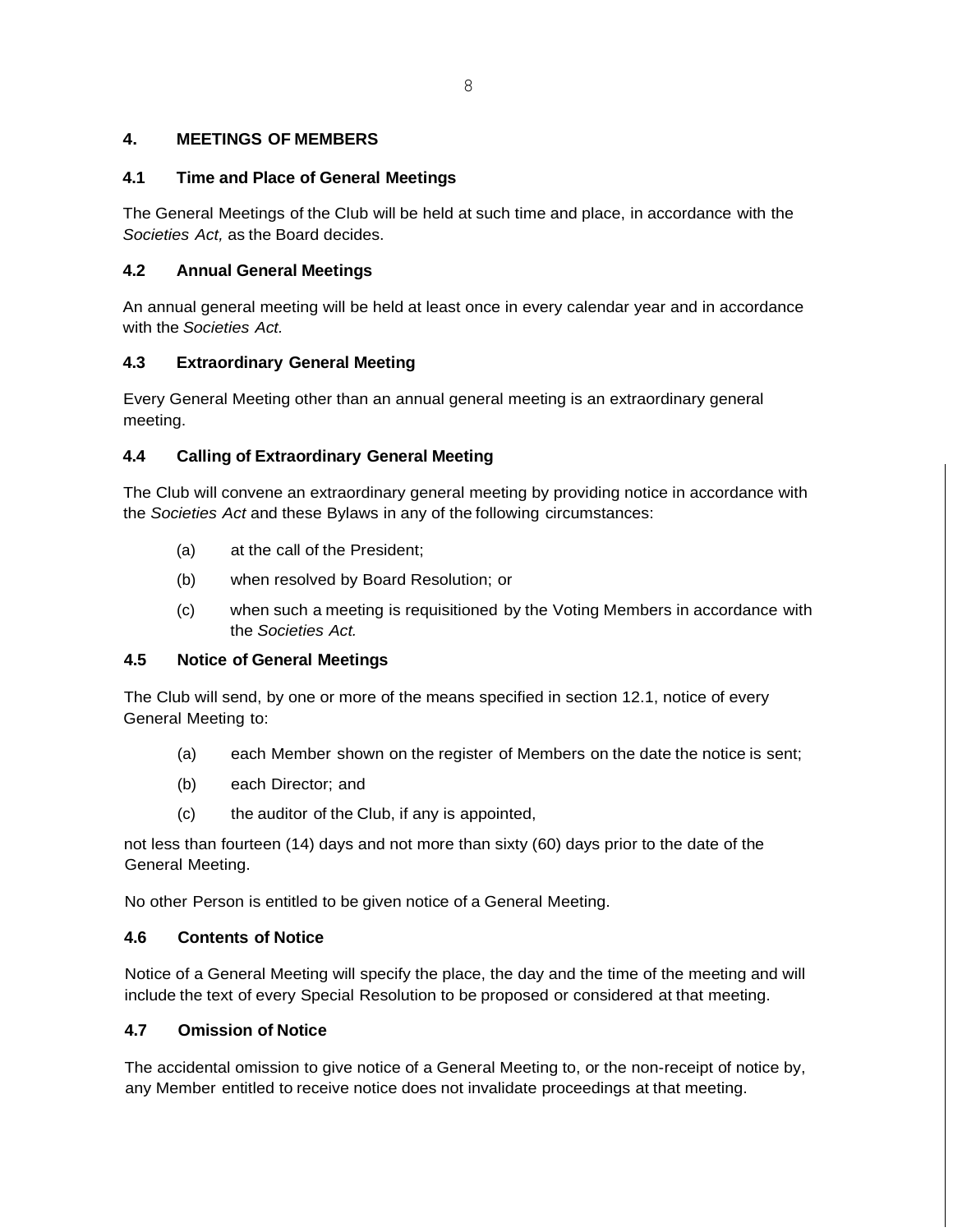## **4. MEETINGS OF MEMBERS**

### **4.1 Time and Place of General Meetings**

The General Meetings of the Club will be held at such time and place, in accordance with the *Societies Act,* as the Board decides.

## **4.2 Annual General Meetings**

An annual general meeting will be held at least once in every calendar year and in accordance with the *Societies Act.*

## **4.3 Extraordinary General Meeting**

Every General Meeting other than an annual general meeting is an extraordinary general meeting.

## **4.4 Calling of Extraordinary General Meeting**

The Club will convene an extraordinary general meeting by providing notice in accordance with the *Societies Act* and these Bylaws in any of the following circumstances:

- (a) at the call of the President;
- (b) when resolved by Board Resolution; or
- (c) when such a meeting is requisitioned by the Voting Members in accordance with the *Societies Act.*

### **4.5 Notice of General Meetings**

The Club will send, by one or more of the means specified in section 12.1, notice of every General Meeting to:

- (a) each Member shown on the register of Members on the date the notice is sent;
- (b) each Director; and
- (c) the auditor of the Club, if any is appointed,

not less than fourteen (14) days and not more than sixty (60) days prior to the date of the General Meeting.

No other Person is entitled to be given notice of a General Meeting.

## **4.6 Contents of Notice**

Notice of a General Meeting will specify the place, the day and the time of the meeting and will include the text of every Special Resolution to be proposed or considered at that meeting.

## **4.7 Omission of Notice**

The accidental omission to give notice of a General Meeting to, or the non-receipt of notice by, any Member entitled to receive notice does not invalidate proceedings at that meeting.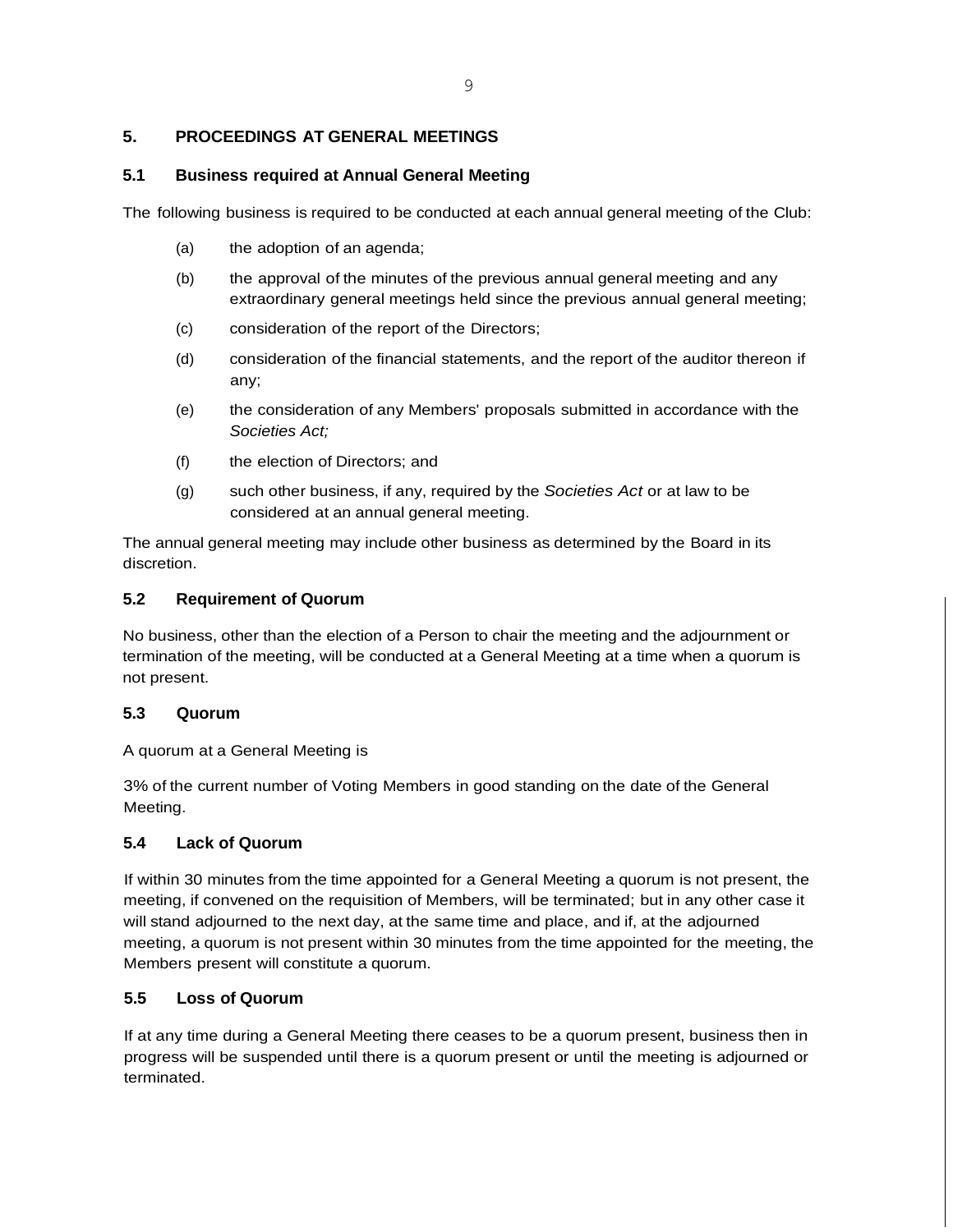### **5. PROCEEDINGS AT GENERAL MEETINGS**

### **5.1 Business required at Annual General Meeting**

The following business is required to be conducted at each annual general meeting of the Club:

- (a) the adoption of an agenda;
- (b) the approval of the minutes of the previous annual general meeting and any extraordinary general meetings held since the previous annual general meeting;
- (c) consideration of the report of the Directors;
- (d) consideration of the financial statements, and the report of the auditor thereon if any;
- (e) the consideration of any Members' proposals submitted in accordance with the *Societies Act;*
- (f) the election of Directors; and
- (g) such other business, if any, required by the *Societies Act* or at law to be considered at an annual general meeting.

The annual general meeting may include other business as determined by the Board in its discretion.

### **5.2 Requirement of Quorum**

No business, other than the election of a Person to chair the meeting and the adjournment or termination of the meeting, will be conducted at a General Meeting at a time when a quorum is not present.

### **5.3 Quorum**

A quorum at a General Meeting is

3% of the current number of Voting Members in good standing on the date of the General Meeting.

### **5.4 Lack of Quorum**

If within 30 minutes from the time appointed for a General Meeting a quorum is not present, the meeting, if convened on the requisition of Members, will be terminated; but in any other case it will stand adjourned to the next day, at the same time and place, and if, at the adjourned meeting, a quorum is not present within 30 minutes from the time appointed for the meeting, the Members present will constitute a quorum.

### **5.5 Loss of Quorum**

If at any time during a General Meeting there ceases to be a quorum present, business then in progress will be suspended until there is a quorum present or until the meeting is adjourned or terminated.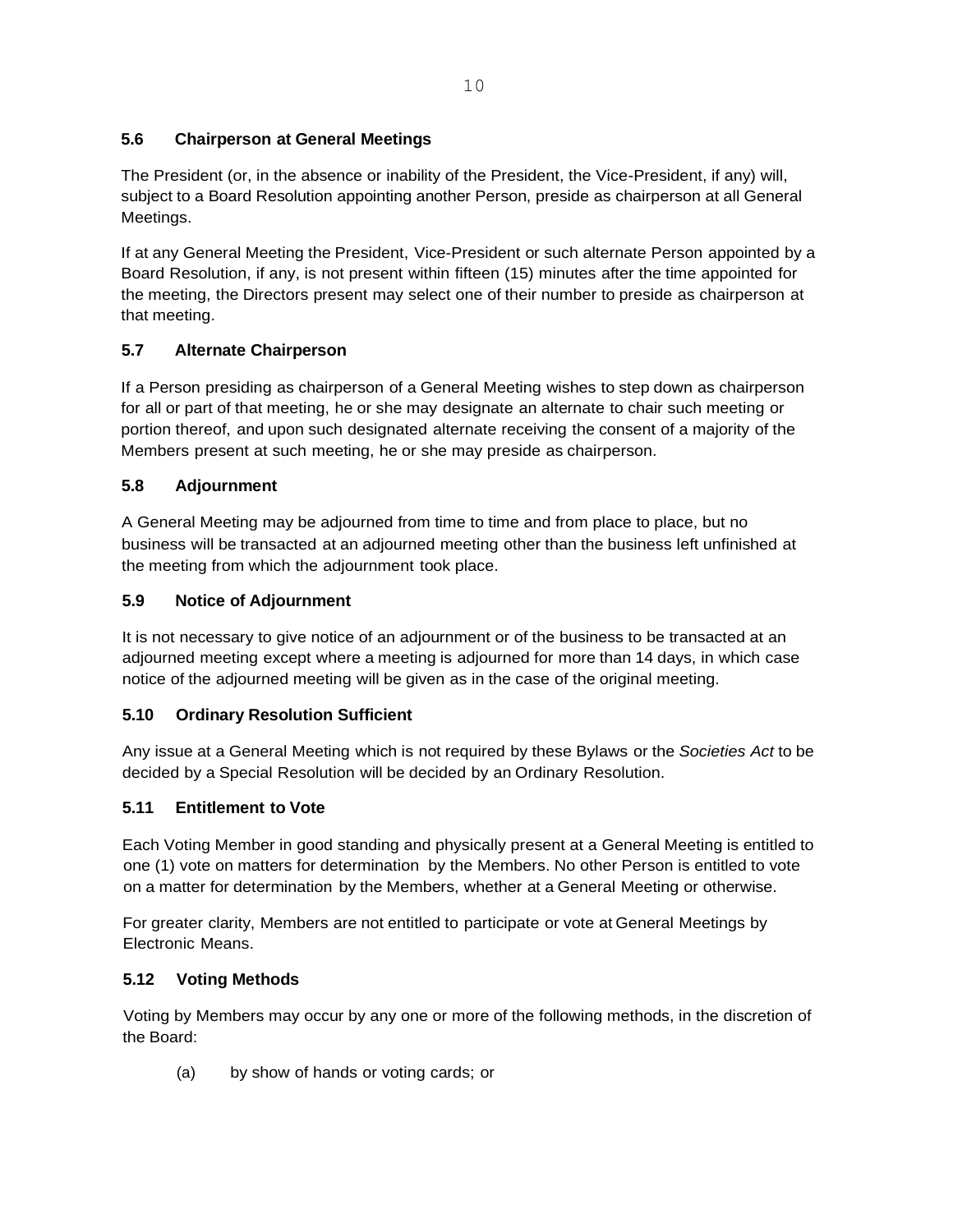## **5.6 Chairperson at General Meetings**

The President (or, in the absence or inability of the President, the Vice-President, if any) will, subject to a Board Resolution appointing another Person, preside as chairperson at all General Meetings.

If at any General Meeting the President, Vice-President or such alternate Person appointed by a Board Resolution, if any, is not present within fifteen (15) minutes after the time appointed for the meeting, the Directors present may select one of their number to preside as chairperson at that meeting.

## **5.7 Alternate Chairperson**

If a Person presiding as chairperson of a General Meeting wishes to step down as chairperson for all or part of that meeting, he or she may designate an alternate to chair such meeting or portion thereof, and upon such designated alternate receiving the consent of a majority of the Members present at such meeting, he or she may preside as chairperson.

## **5.8 Adjournment**

A General Meeting may be adjourned from time to time and from place to place, but no business will be transacted at an adjourned meeting other than the business left unfinished at the meeting from which the adjournment took place.

## **5.9 Notice of Adjournment**

It is not necessary to give notice of an adjournment or of the business to be transacted at an adjourned meeting except where a meeting is adjourned for more than 14 days, in which case notice of the adjourned meeting will be given as in the case of the original meeting.

## **5.10 Ordinary Resolution Sufficient**

Any issue at a General Meeting which is not required by these Bylaws or the *Societies Act* to be decided by a Special Resolution will be decided by an Ordinary Resolution.

### **5.11 Entitlement to Vote**

Each Voting Member in good standing and physically present at a General Meeting is entitled to one (1) vote on matters for determination by the Members. No other Person is entitled to vote on a matter for determination by the Members, whether at a General Meeting or otherwise.

For greater clarity, Members are not entitled to participate or vote at General Meetings by Electronic Means.

### **5.12 Voting Methods**

Voting by Members may occur by any one or more of the following methods, in the discretion of the Board:

(a) by show of hands or voting cards; or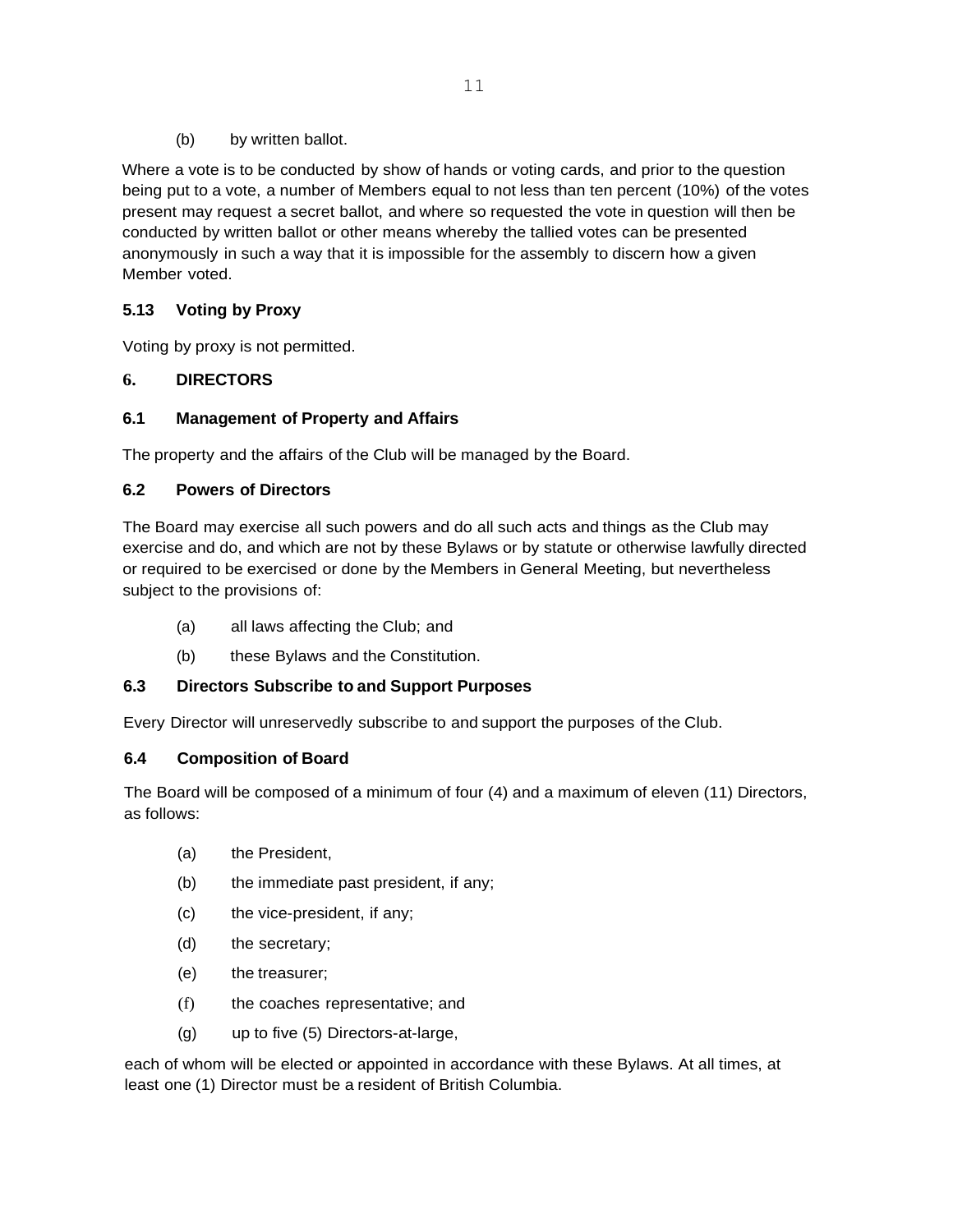(b) by written ballot.

Where a vote is to be conducted by show of hands or voting cards, and prior to the question being put to a vote, a number of Members equal to not less than ten percent (10%) of the votes present may request a secret ballot, and where so requested the vote in question will then be conducted by written ballot or other means whereby the tallied votes can be presented anonymously in such a way that it is impossible for the assembly to discern how a given Member voted.

## **5.13 Voting by Proxy**

Voting by proxy is not permitted.

## **6. DIRECTORS**

## **6.1 Management of Property and Affairs**

The property and the affairs of the Club will be managed by the Board.

## **6.2 Powers of Directors**

The Board may exercise all such powers and do all such acts and things as the Club may exercise and do, and which are not by these Bylaws or by statute or otherwise lawfully directed or required to be exercised or done by the Members in General Meeting, but nevertheless subject to the provisions of:

- (a) all laws affecting the Club; and
- (b) these Bylaws and the Constitution.

## **6.3 Directors Subscribe to and Support Purposes**

Every Director will unreservedly subscribe to and support the purposes of the Club.

### **6.4 Composition of Board**

The Board will be composed of a minimum of four (4) and a maximum of eleven (11) Directors, as follows:

- (a) the President,
- (b) the immediate past president, if any;
- (c) the vice-president, if any;
- (d) the secretary;
- (e) the treasurer;
- (f) the coaches representative; and
- (g) up to five (5) Directors-at-large,

each of whom will be elected or appointed in accordance with these Bylaws. At all times, at least one (1) Director must be a resident of British Columbia.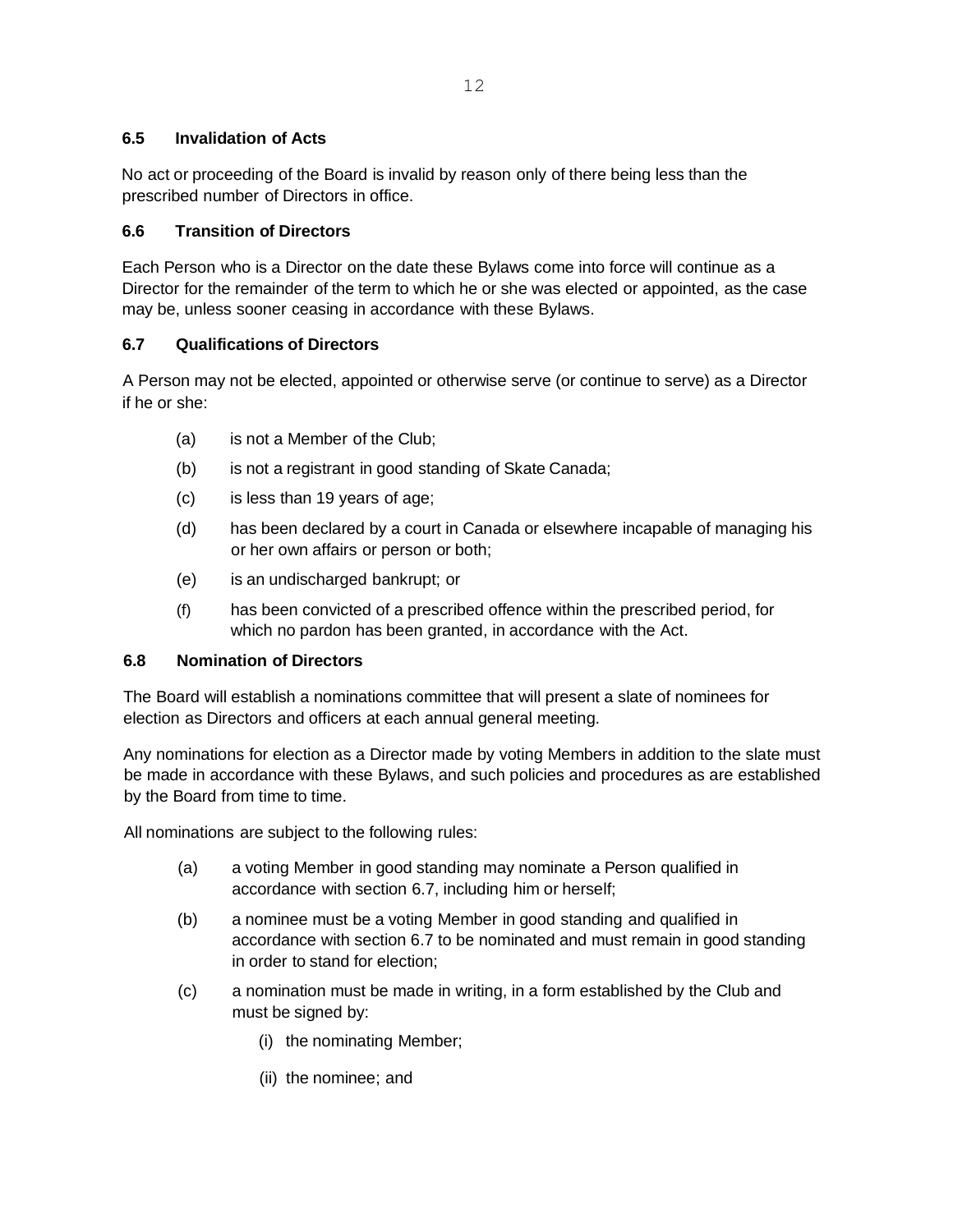## **6.5 Invalidation of Acts**

No act or proceeding of the Board is invalid by reason only of there being less than the prescribed number of Directors in office.

## **6.6 Transition of Directors**

Each Person who is a Director on the date these Bylaws come into force will continue as a Director for the remainder of the term to which he or she was elected or appointed, as the case may be, unless sooner ceasing in accordance with these Bylaws.

## **6.7 Qualifications of Directors**

A Person may not be elected, appointed or otherwise serve (or continue to serve) as a Director if he or she:

- (a) is not a Member of the Club;
- (b) is not a registrant in good standing of Skate Canada;
- (c) is less than 19 years of age;
- (d) has been declared by a court in Canada or elsewhere incapable of managing his or her own affairs or person or both;
- (e) is an undischarged bankrupt; or
- (f) has been convicted of a prescribed offence within the prescribed period, for which no pardon has been granted, in accordance with the Act.

### **6.8 Nomination of Directors**

The Board will establish a nominations committee that will present a slate of nominees for election as Directors and officers at each annual general meeting.

Any nominations for election as a Director made by voting Members in addition to the slate must be made in accordance with these Bylaws, and such policies and procedures as are established by the Board from time to time.

All nominations are subject to the following rules:

- (a) a voting Member in good standing may nominate a Person qualified in accordance with section 6.7, including him or herself;
- (b) a nominee must be a voting Member in good standing and qualified in accordance with section 6.7 to be nominated and must remain in good standing in order to stand for election;
- (c) a nomination must be made in writing, in a form established by the Club and must be signed by:
	- (i) the nominating Member;
	- (ii) the nominee; and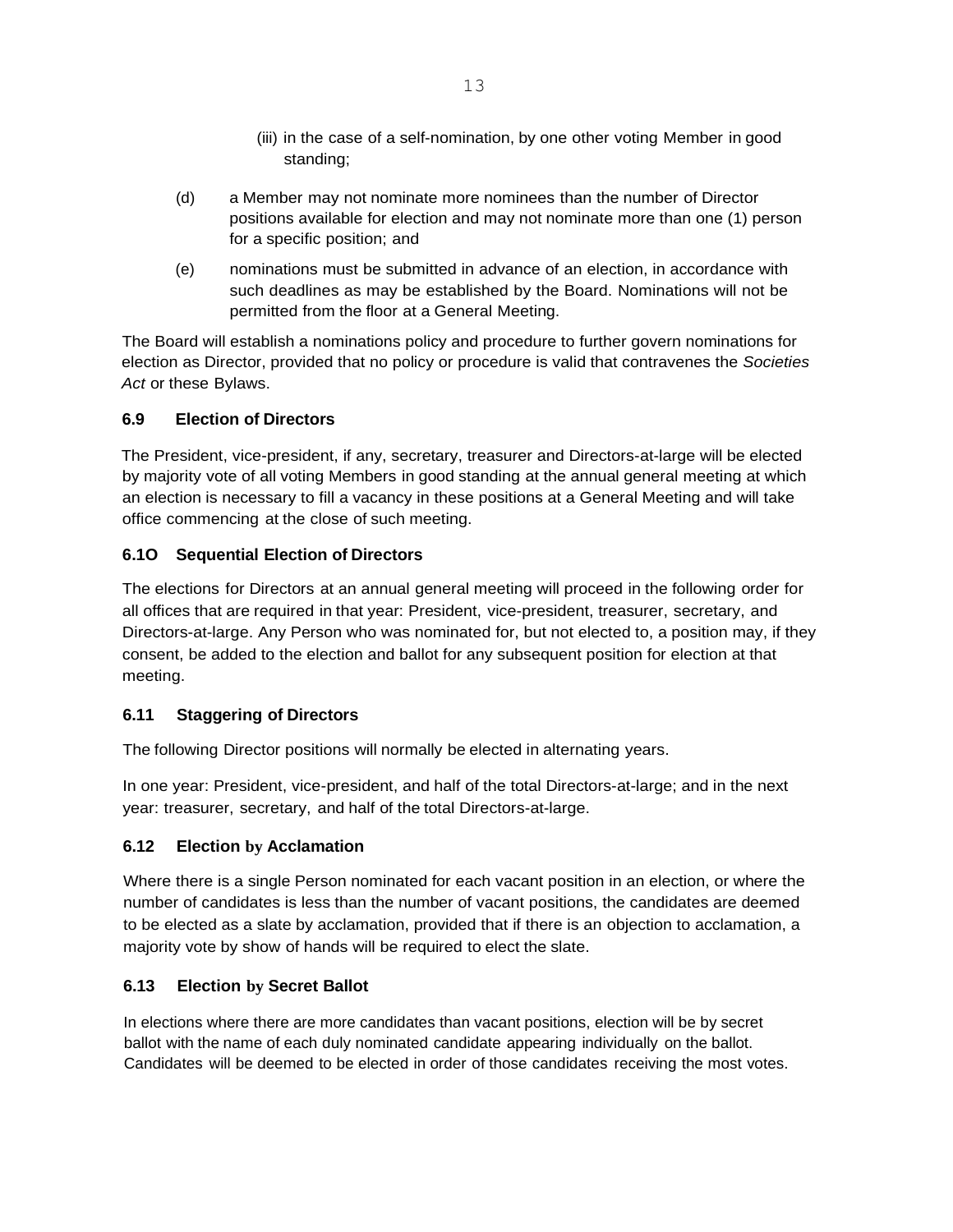- (iii) in the case of a self-nomination, by one other voting Member in good standing;
- (d) a Member may not nominate more nominees than the number of Director positions available for election and may not nominate more than one (1) person for a specific position; and
- (e) nominations must be submitted in advance of an election, in accordance with such deadlines as may be established by the Board. Nominations will not be permitted from the floor at a General Meeting.

The Board will establish a nominations policy and procedure to further govern nominations for election as Director, provided that no policy or procedure is valid that contravenes the *Societies Act* or these Bylaws.

## **6.9 Election of Directors**

The President, vice-president, if any, secretary, treasurer and Directors-at-large will be elected by majority vote of all voting Members in good standing at the annual general meeting at which an election is necessary to fill a vacancy in these positions at a General Meeting and will take office commencing at the close of such meeting.

## **6.1O Sequential Election of Directors**

The elections for Directors at an annual general meeting will proceed in the following order for all offices that are required in that year: President, vice-president, treasurer, secretary, and Directors-at-large. Any Person who was nominated for, but not elected to, a position may, if they consent, be added to the election and ballot for any subsequent position for election at that meeting.

### **6.11 Staggering of Directors**

The following Director positions will normally be elected in alternating years.

In one year: President, vice-president, and half of the total Directors-at-large; and in the next year: treasurer, secretary, and half of the total Directors-at-large.

### **6.12 Election by Acclamation**

Where there is a single Person nominated for each vacant position in an election, or where the number of candidates is less than the number of vacant positions, the candidates are deemed to be elected as a slate by acclamation, provided that if there is an objection to acclamation, a majority vote by show of hands will be required to elect the slate.

### **6.13 Election by Secret Ballot**

In elections where there are more candidates than vacant positions, election will be by secret ballot with the name of each duly nominated candidate appearing individually on the ballot. Candidates will be deemed to be elected in order of those candidates receiving the most votes.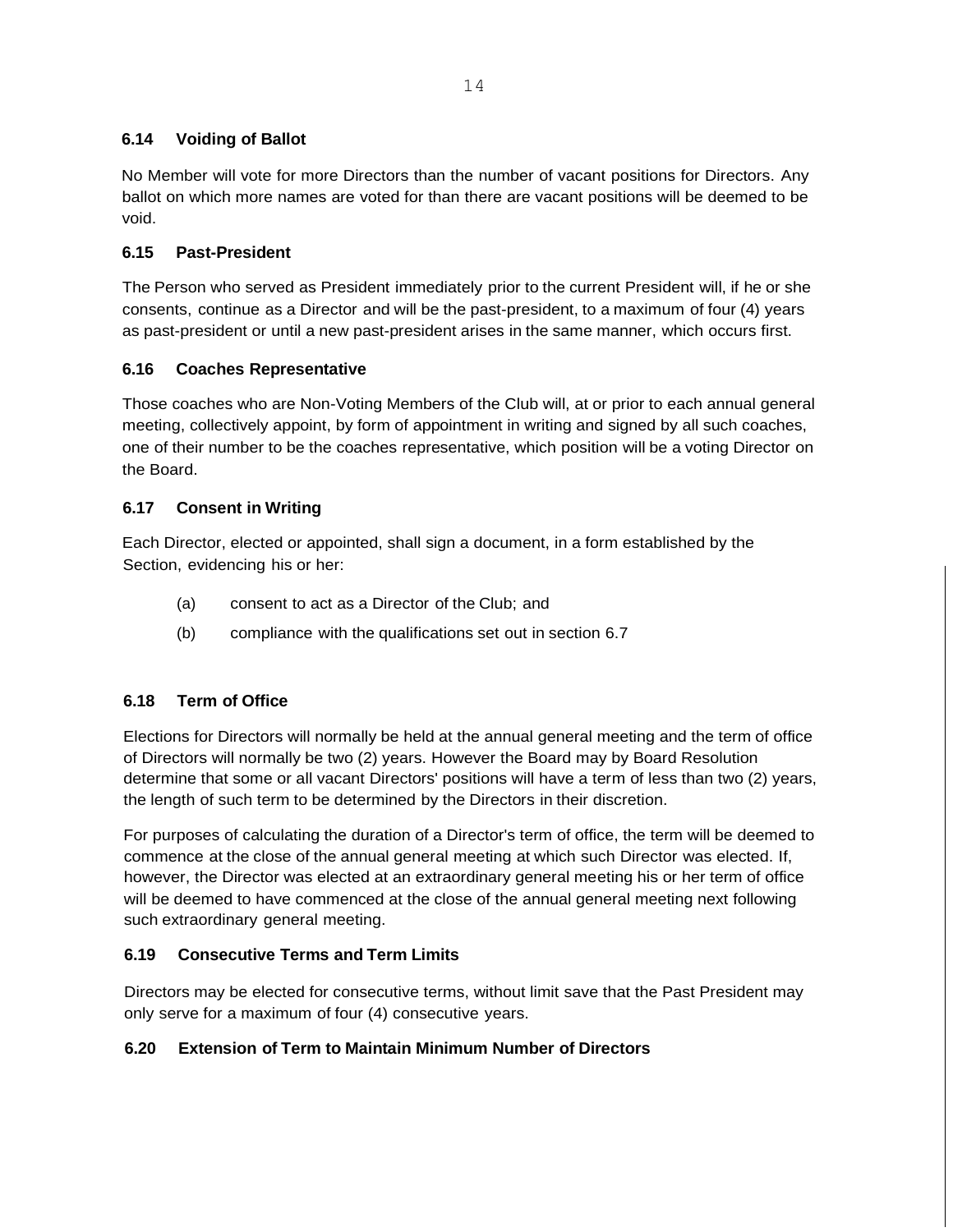## **6.14 Voiding of Ballot**

No Member will vote for more Directors than the number of vacant positions for Directors. Any ballot on which more names are voted for than there are vacant positions will be deemed to be void.

## **6.15 Past-President**

The Person who served as President immediately prior to the current President will, if he or she consents, continue as a Director and will be the past-president, to a maximum of four (4) years as past-president or until a new past-president arises in the same manner, which occurs first.

## **6.16 Coaches Representative**

Those coaches who are Non-Voting Members of the Club will, at or prior to each annual general meeting, collectively appoint, by form of appointment in writing and signed by all such coaches, one of their number to be the coaches representative, which position will be a voting Director on the Board.

### **6.17 Consent in Writing**

Each Director, elected or appointed, shall sign a document, in a form established by the Section, evidencing his or her:

- (a) consent to act as a Director of the Club; and
- (b) compliance with the qualifications set out in section 6.7

## **6.18 Term of Office**

Elections for Directors will normally be held at the annual general meeting and the term of office of Directors will normally be two (2) years. However the Board may by Board Resolution determine that some or all vacant Directors' positions will have a term of less than two (2) years, the length of such term to be determined by the Directors in their discretion.

For purposes of calculating the duration of a Director's term of office, the term will be deemed to commence at the close of the annual general meeting at which such Director was elected. If, however, the Director was elected at an extraordinary general meeting his or her term of office will be deemed to have commenced at the close of the annual general meeting next following such extraordinary general meeting.

### **6.19 Consecutive Terms and Term Limits**

Directors may be elected for consecutive terms, without limit save that the Past President may only serve for a maximum of four (4) consecutive years.

## **6.20 Extension of Term to Maintain Minimum Number of Directors**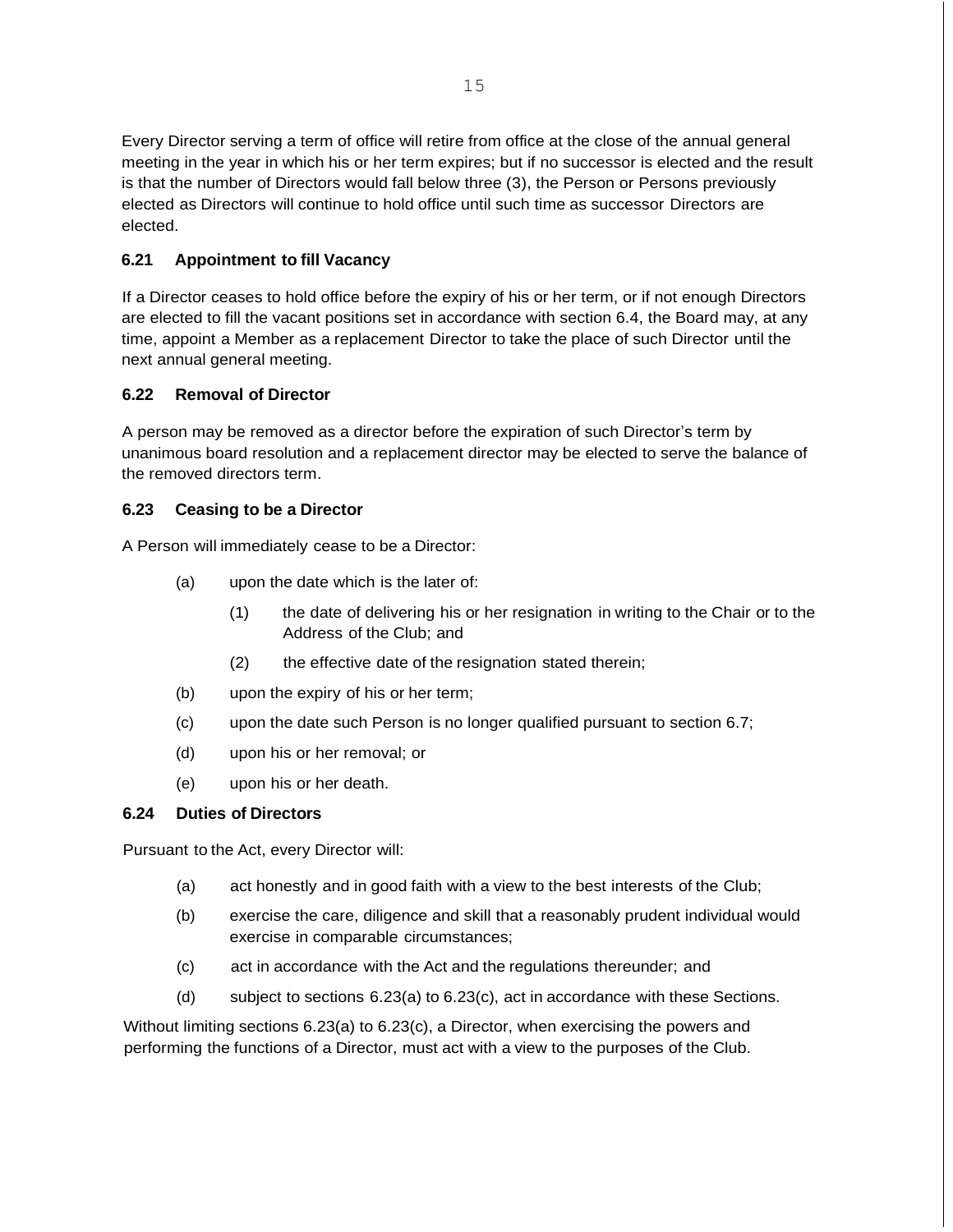Every Director serving a term of office will retire from office at the close of the annual general meeting in the year in which his or her term expires; but if no successor is elected and the result is that the number of Directors would fall below three (3), the Person or Persons previously elected as Directors will continue to hold office until such time as successor Directors are elected.

## **6.21 Appointment to fill Vacancy**

If a Director ceases to hold office before the expiry of his or her term, or if not enough Directors are elected to fill the vacant positions set in accordance with section 6.4, the Board may, at any time, appoint a Member as a replacement Director to take the place of such Director until the next annual general meeting.

### **6.22 Removal of Director**

A person may be removed as a director before the expiration of such Director's term by unanimous board resolution and a replacement director may be elected to serve the balance of the removed directors term.

#### **6.23 Ceasing to be a Director**

A Person will immediately cease to be a Director:

- (a) upon the date which is the later of:
	- (1) the date of delivering his or her resignation in writing to the Chair or to the Address of the Club; and
	- (2) the effective date of the resignation stated therein;
- (b) upon the expiry of his or her term;
- (c) upon the date such Person is no longer qualified pursuant to section 6.7;
- (d) upon his or her removal; or
- (e) upon his or her death.

### **6.24 Duties of Directors**

Pursuant to the Act, every Director will:

- (a) act honestly and in good faith with a view to the best interests of the Club;
- (b) exercise the care, diligence and skill that a reasonably prudent individual would exercise in comparable circumstances;
- (c) act in accordance with the Act and the regulations thereunder; and
- (d) subject to sections 6.23(a) to 6.23(c), act in accordance with these Sections.

Without limiting sections 6.23(a) to 6.23(c), a Director, when exercising the powers and performing the functions of a Director, must act with a view to the purposes of the Club.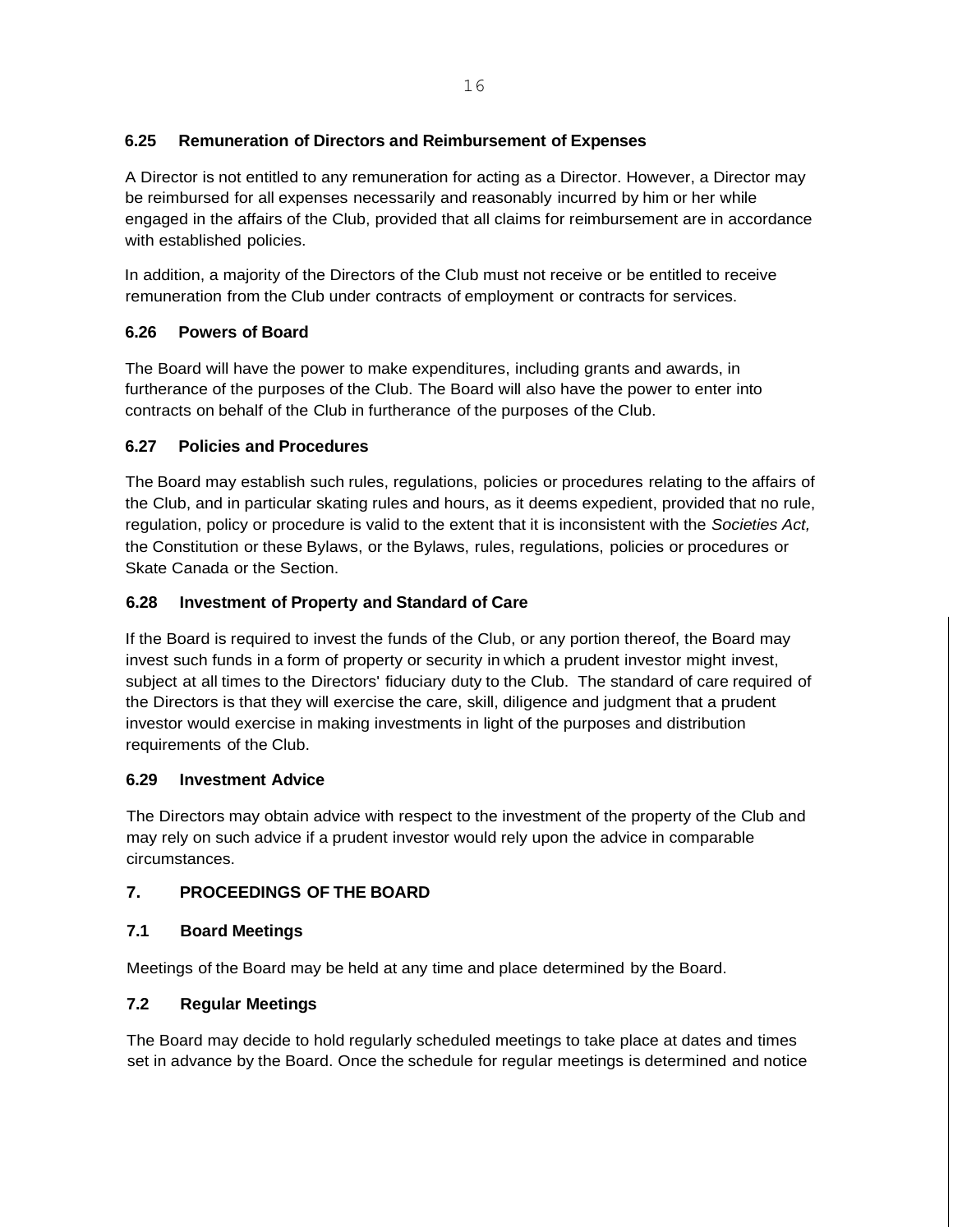## **6.25 Remuneration of Directors and Reimbursement of Expenses**

A Director is not entitled to any remuneration for acting as a Director. However, a Director may be reimbursed for all expenses necessarily and reasonably incurred by him or her while engaged in the affairs of the Club, provided that all claims for reimbursement are in accordance with established policies.

In addition, a majority of the Directors of the Club must not receive or be entitled to receive remuneration from the Club under contracts of employment or contracts for services.

## **6.26 Powers of Board**

The Board will have the power to make expenditures, including grants and awards, in furtherance of the purposes of the Club. The Board will also have the power to enter into contracts on behalf of the Club in furtherance of the purposes of the Club.

## **6.27 Policies and Procedures**

The Board may establish such rules, regulations, policies or procedures relating to the affairs of the Club, and in particular skating rules and hours, as it deems expedient, provided that no rule, regulation, policy or procedure is valid to the extent that it is inconsistent with the *Societies Act,* the Constitution or these Bylaws, or the Bylaws, rules, regulations, policies or procedures or Skate Canada or the Section.

## **6.28 Investment of Property and Standard of Care**

If the Board is required to invest the funds of the Club, or any portion thereof, the Board may invest such funds in a form of property or security in which a prudent investor might invest, subject at all times to the Directors' fiduciary duty to the Club. The standard of care required of the Directors is that they will exercise the care, skill, diligence and judgment that a prudent investor would exercise in making investments in light of the purposes and distribution requirements of the Club.

## **6.29 Investment Advice**

The Directors may obtain advice with respect to the investment of the property of the Club and may rely on such advice if a prudent investor would rely upon the advice in comparable circumstances.

## **7. PROCEEDINGS OF THE BOARD**

## **7.1 Board Meetings**

Meetings of the Board may be held at any time and place determined by the Board.

# **7.2 Regular Meetings**

The Board may decide to hold regularly scheduled meetings to take place at dates and times set in advance by the Board. Once the schedule for regular meetings is determined and notice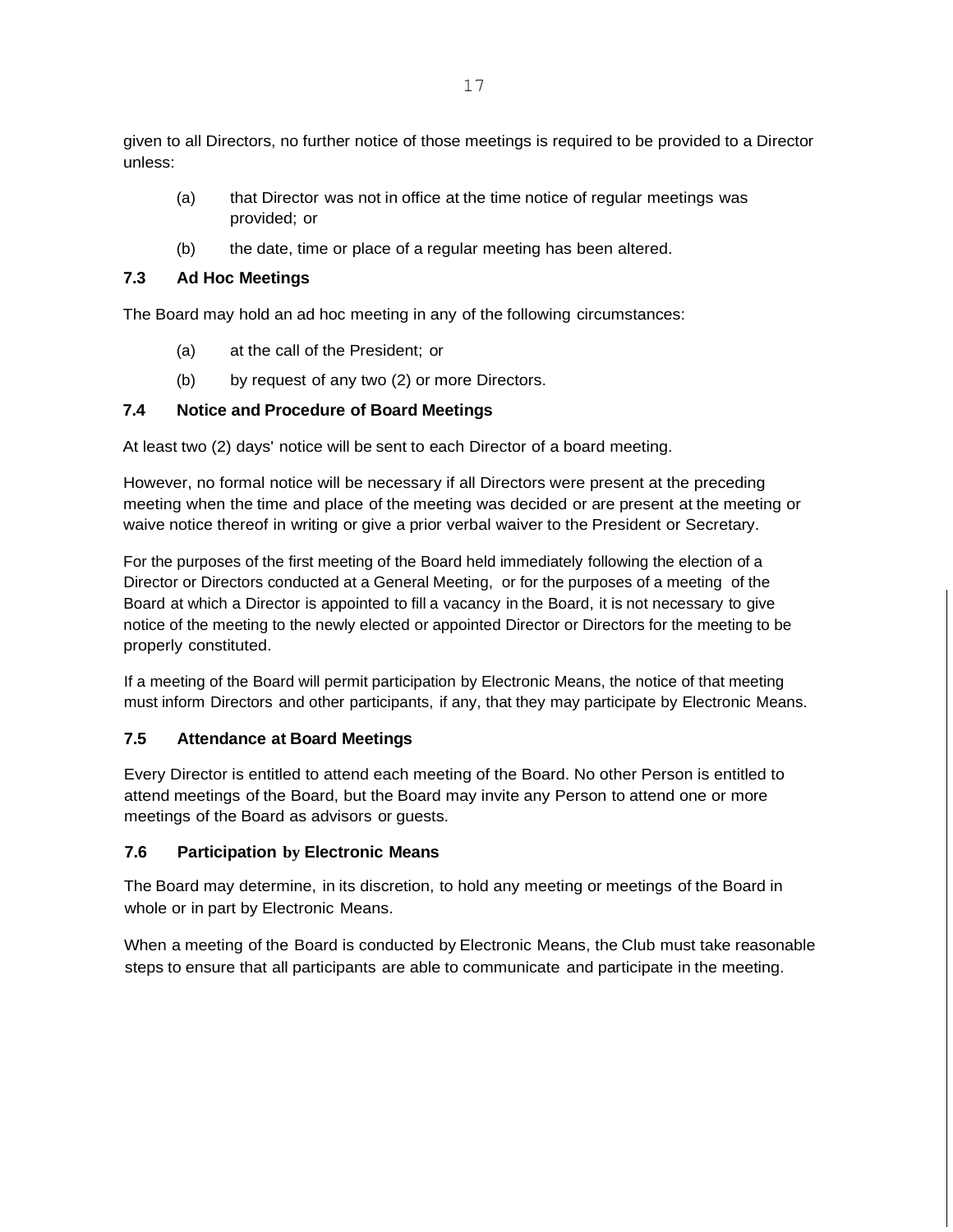given to all Directors, no further notice of those meetings is required to be provided to a Director unless:

- (a) that Director was not in office at the time notice of regular meetings was provided; or
- (b) the date, time or place of a regular meeting has been altered.

## **7.3 Ad Hoc Meetings**

The Board may hold an ad hoc meeting in any of the following circumstances:

- (a) at the call of the President; or
- (b) by request of any two (2) or more Directors.

## **7.4 Notice and Procedure of Board Meetings**

At least two (2) days' notice will be sent to each Director of a board meeting.

However, no formal notice will be necessary if all Directors were present at the preceding meeting when the time and place of the meeting was decided or are present at the meeting or waive notice thereof in writing or give a prior verbal waiver to the President or Secretary.

For the purposes of the first meeting of the Board held immediately following the election of a Director or Directors conducted at a General Meeting, or for the purposes of a meeting of the Board at which a Director is appointed to fill a vacancy in the Board, it is not necessary to give notice of the meeting to the newly elected or appointed Director or Directors for the meeting to be properly constituted.

If a meeting of the Board will permit participation by Electronic Means, the notice of that meeting must inform Directors and other participants, if any, that they may participate by Electronic Means.

## **7.5 Attendance at Board Meetings**

Every Director is entitled to attend each meeting of the Board. No other Person is entitled to attend meetings of the Board, but the Board may invite any Person to attend one or more meetings of the Board as advisors or guests.

## **7.6 Participation by Electronic Means**

The Board may determine, in its discretion, to hold any meeting or meetings of the Board in whole or in part by Electronic Means.

When a meeting of the Board is conducted by Electronic Means, the Club must take reasonable steps to ensure that all participants are able to communicate and participate in the meeting.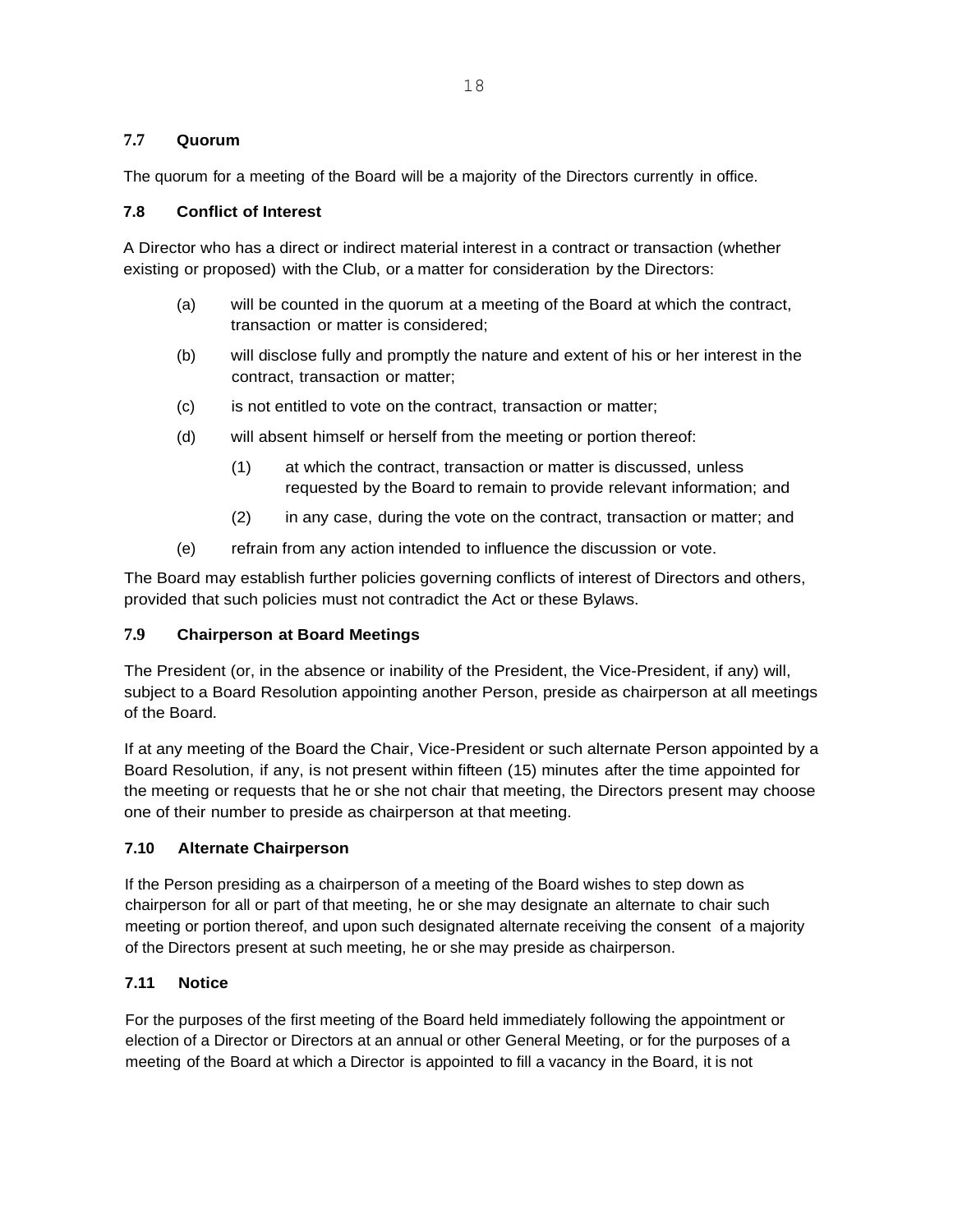### **7.7 Quorum**

The quorum for a meeting of the Board will be a majority of the Directors currently in office.

#### **7.8 Conflict of Interest**

A Director who has a direct or indirect material interest in a contract or transaction (whether existing or proposed) with the Club, or a matter for consideration by the Directors:

- (a) will be counted in the quorum at a meeting of the Board at which the contract, transaction or matter is considered;
- (b) will disclose fully and promptly the nature and extent of his or her interest in the contract, transaction or matter;
- (c) is not entitled to vote on the contract, transaction or matter;
- (d) will absent himself or herself from the meeting or portion thereof:
	- (1) at which the contract, transaction or matter is discussed, unless requested by the Board to remain to provide relevant information; and
	- (2) in any case, during the vote on the contract, transaction or matter; and
- (e) refrain from any action intended to influence the discussion or vote.

The Board may establish further policies governing conflicts of interest of Directors and others, provided that such policies must not contradict the Act or these Bylaws.

### **7.9 Chairperson at Board Meetings**

The President (or, in the absence or inability of the President, the Vice-President, if any) will, subject to a Board Resolution appointing another Person, preside as chairperson at all meetings of the Board.

If at any meeting of the Board the Chair, Vice-President or such alternate Person appointed by a Board Resolution, if any, is not present within fifteen (15) minutes after the time appointed for the meeting or requests that he or she not chair that meeting, the Directors present may choose one of their number to preside as chairperson at that meeting.

### **7.10 Alternate Chairperson**

If the Person presiding as a chairperson of a meeting of the Board wishes to step down as chairperson for all or part of that meeting, he or she may designate an alternate to chair such meeting or portion thereof, and upon such designated alternate receiving the consent of a majority of the Directors present at such meeting, he or she may preside as chairperson.

### **7.11 Notice**

For the purposes of the first meeting of the Board held immediately following the appointment or election of a Director or Directors at an annual or other General Meeting, or for the purposes of a meeting of the Board at which a Director is appointed to fill a vacancy in the Board, it is not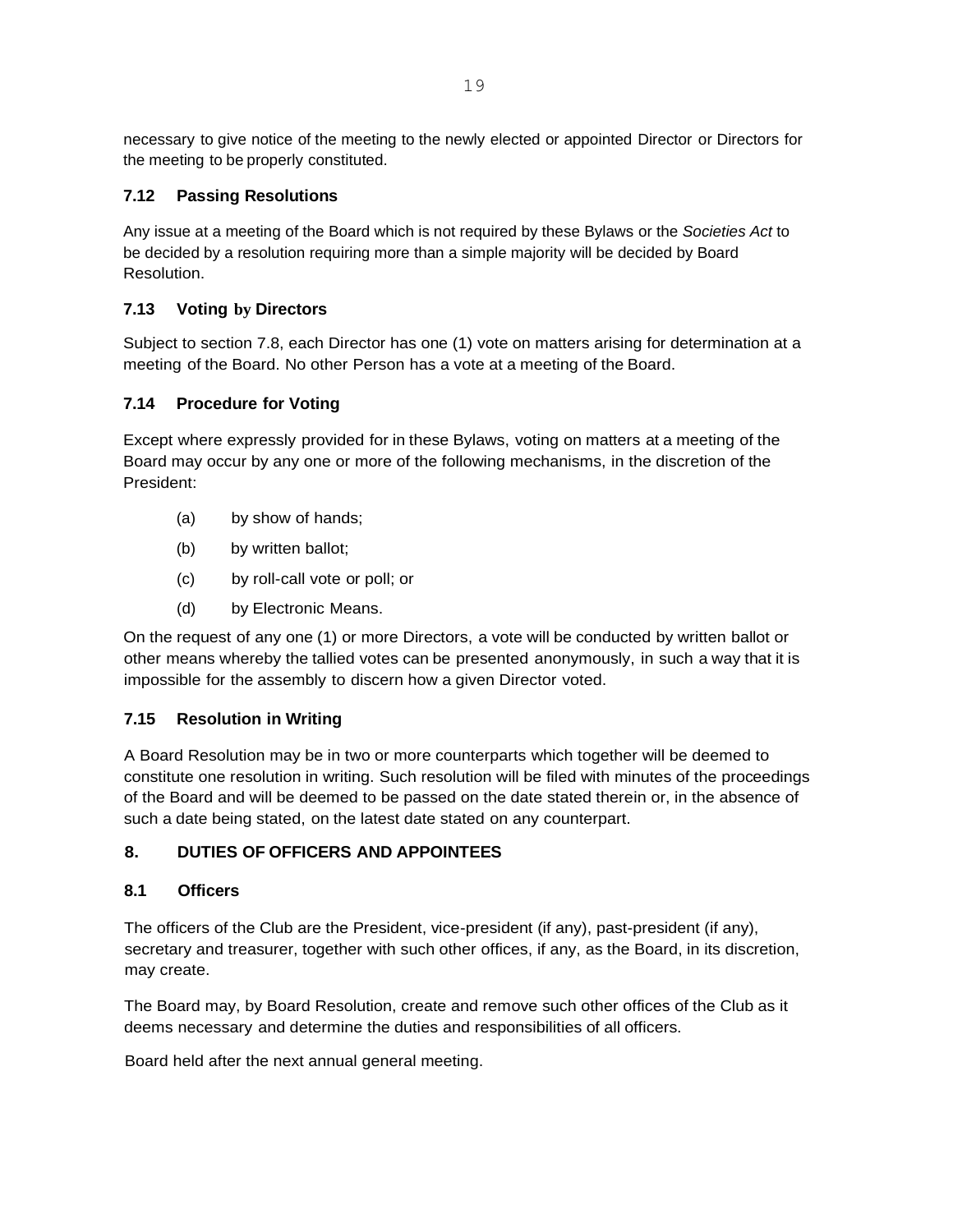necessary to give notice of the meeting to the newly elected or appointed Director or Directors for the meeting to be properly constituted.

## **7.12 Passing Resolutions**

Any issue at a meeting of the Board which is not required by these Bylaws or the *Societies Act* to be decided by a resolution requiring more than a simple majority will be decided by Board Resolution.

## **7.13 Voting by Directors**

Subject to section 7.8, each Director has one (1) vote on matters arising for determination at a meeting of the Board. No other Person has a vote at a meeting of the Board.

## **7.14 Procedure for Voting**

Except where expressly provided for in these Bylaws, voting on matters at a meeting of the Board may occur by any one or more of the following mechanisms, in the discretion of the President:

- (a) by show of hands;
- (b) by written ballot;
- (c) by roll-call vote or poll; or
- (d) by Electronic Means.

On the request of any one (1) or more Directors, a vote will be conducted by written ballot or other means whereby the tallied votes can be presented anonymously, in such a way that it is impossible for the assembly to discern how a given Director voted.

## **7.15 Resolution in Writing**

A Board Resolution may be in two or more counterparts which together will be deemed to constitute one resolution in writing. Such resolution will be filed with minutes of the proceedings of the Board and will be deemed to be passed on the date stated therein or, in the absence of such a date being stated, on the latest date stated on any counterpart.

## **8. DUTIES OF OFFICERS AND APPOINTEES**

## **8.1 Officers**

The officers of the Club are the President, vice-president (if any), past-president (if any), secretary and treasurer, together with such other offices, if any, as the Board, in its discretion, may create.

The Board may, by Board Resolution, create and remove such other offices of the Club as it deems necessary and determine the duties and responsibilities of all officers.

Board held after the next annual general meeting.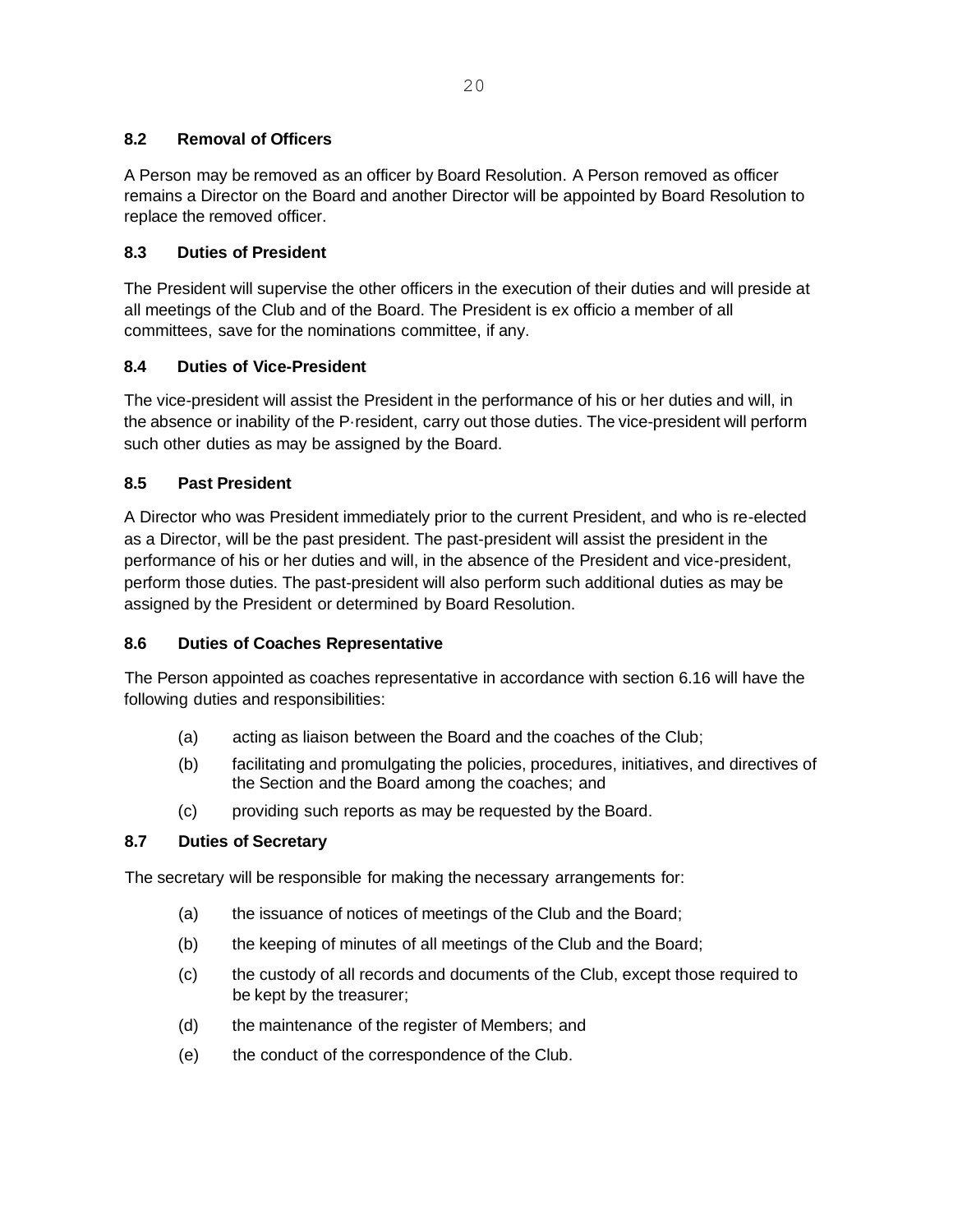## **8.2 Removal of Officers**

A Person may be removed as an officer by Board Resolution. A Person removed as officer remains a Director on the Board and another Director will be appointed by Board Resolution to replace the removed officer.

## **8.3 Duties of President**

The President will supervise the other officers in the execution of their duties and will preside at all meetings of the Club and of the Board. The President is ex officio a member of all committees, save for the nominations committee, if any.

## **8.4 Duties of Vice-President**

The vice-president will assist the President in the performance of his or her duties and will, in the absence or inability of the P·resident, carry out those duties. The vice-president will perform such other duties as may be assigned by the Board.

## **8.5 Past President**

A Director who was President immediately prior to the current President, and who is re-elected as a Director, will be the past president. The past-president will assist the president in the performance of his or her duties and will, in the absence of the President and vice-president, perform those duties. The past-president will also perform such additional duties as may be assigned by the President or determined by Board Resolution.

### **8.6 Duties of Coaches Representative**

The Person appointed as coaches representative in accordance with section 6.16 will have the following duties and responsibilities:

- (a) acting as liaison between the Board and the coaches of the Club;
- (b) facilitating and promulgating the policies, procedures, initiatives, and directives of the Section and the Board among the coaches; and
- (c) providing such reports as may be requested by the Board.

### **8.7 Duties of Secretary**

The secretary will be responsible for making the necessary arrangements for:

- (a) the issuance of notices of meetings of the Club and the Board;
- (b) the keeping of minutes of all meetings of the Club and the Board;
- (c) the custody of all records and documents of the Club, except those required to be kept by the treasurer;
- (d) the maintenance of the register of Members; and
- (e) the conduct of the correspondence of the Club.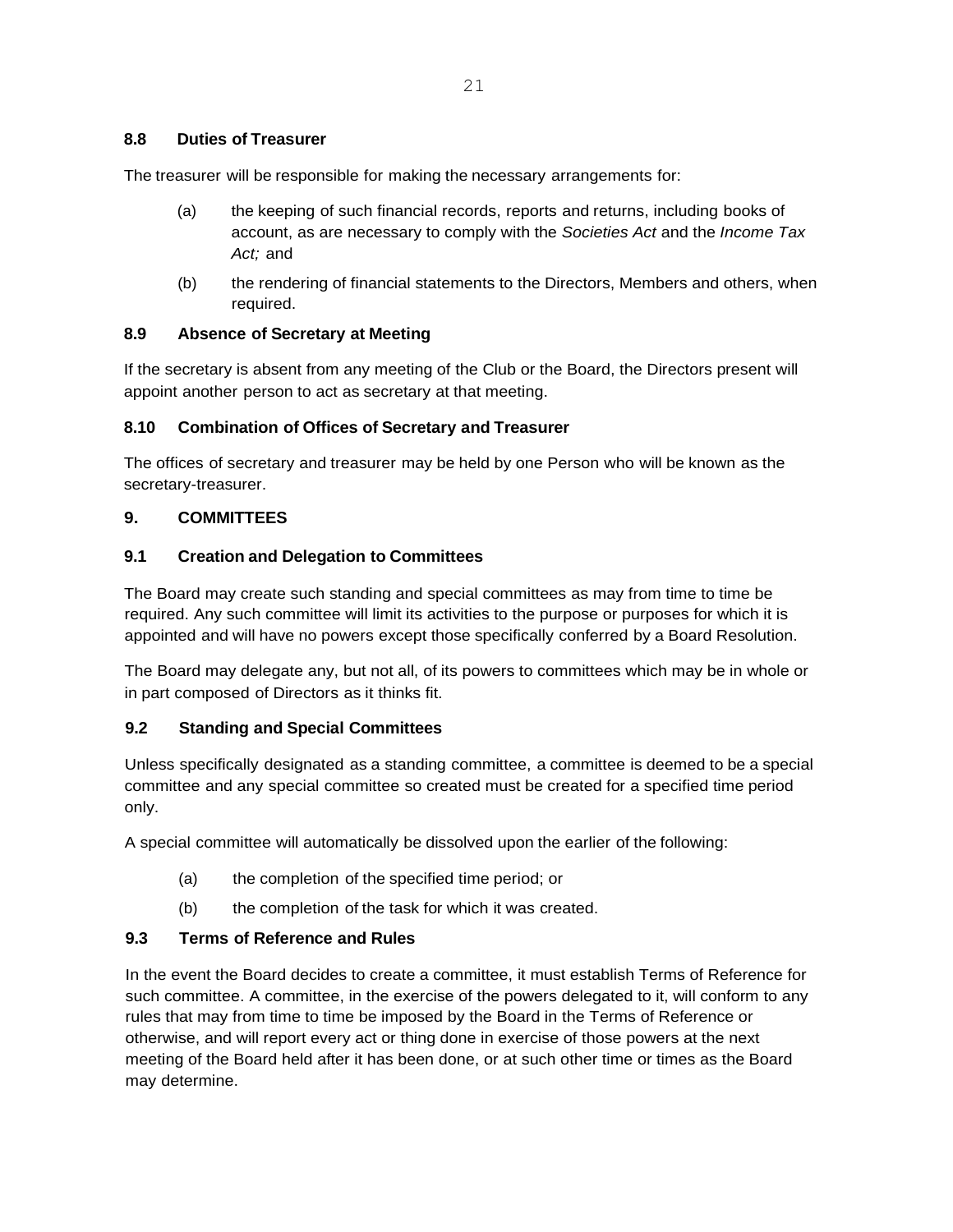The treasurer will be responsible for making the necessary arrangements for:

- (a) the keeping of such financial records, reports and returns, including books of account, as are necessary to comply with the *Societies Act* and the *Income Tax Act;* and
- (b) the rendering of financial statements to the Directors, Members and others, when required.

### **8.9 Absence of Secretary at Meeting**

If the secretary is absent from any meeting of the Club or the Board, the Directors present will appoint another person to act as secretary at that meeting.

## **8.10 Combination of Offices of Secretary and Treasurer**

The offices of secretary and treasurer may be held by one Person who will be known as the secretary-treasurer.

## **9. COMMITTEES**

### **9.1 Creation and Delegation to Committees**

The Board may create such standing and special committees as may from time to time be required. Any such committee will limit its activities to the purpose or purposes for which it is appointed and will have no powers except those specifically conferred by a Board Resolution.

The Board may delegate any, but not all, of its powers to committees which may be in whole or in part composed of Directors as it thinks fit.

### **9.2 Standing and Special Committees**

Unless specifically designated as a standing committee, a committee is deemed to be a special committee and any special committee so created must be created for a specified time period only.

A special committee will automatically be dissolved upon the earlier of the following:

- (a) the completion of the specified time period; or
- (b) the completion of the task for which it was created.

## **9.3 Terms of Reference and Rules**

In the event the Board decides to create a committee, it must establish Terms of Reference for such committee. A committee, in the exercise of the powers delegated to it, will conform to any rules that may from time to time be imposed by the Board in the Terms of Reference or otherwise, and will report every act or thing done in exercise of those powers at the next meeting of the Board held after it has been done, or at such other time or times as the Board may determine.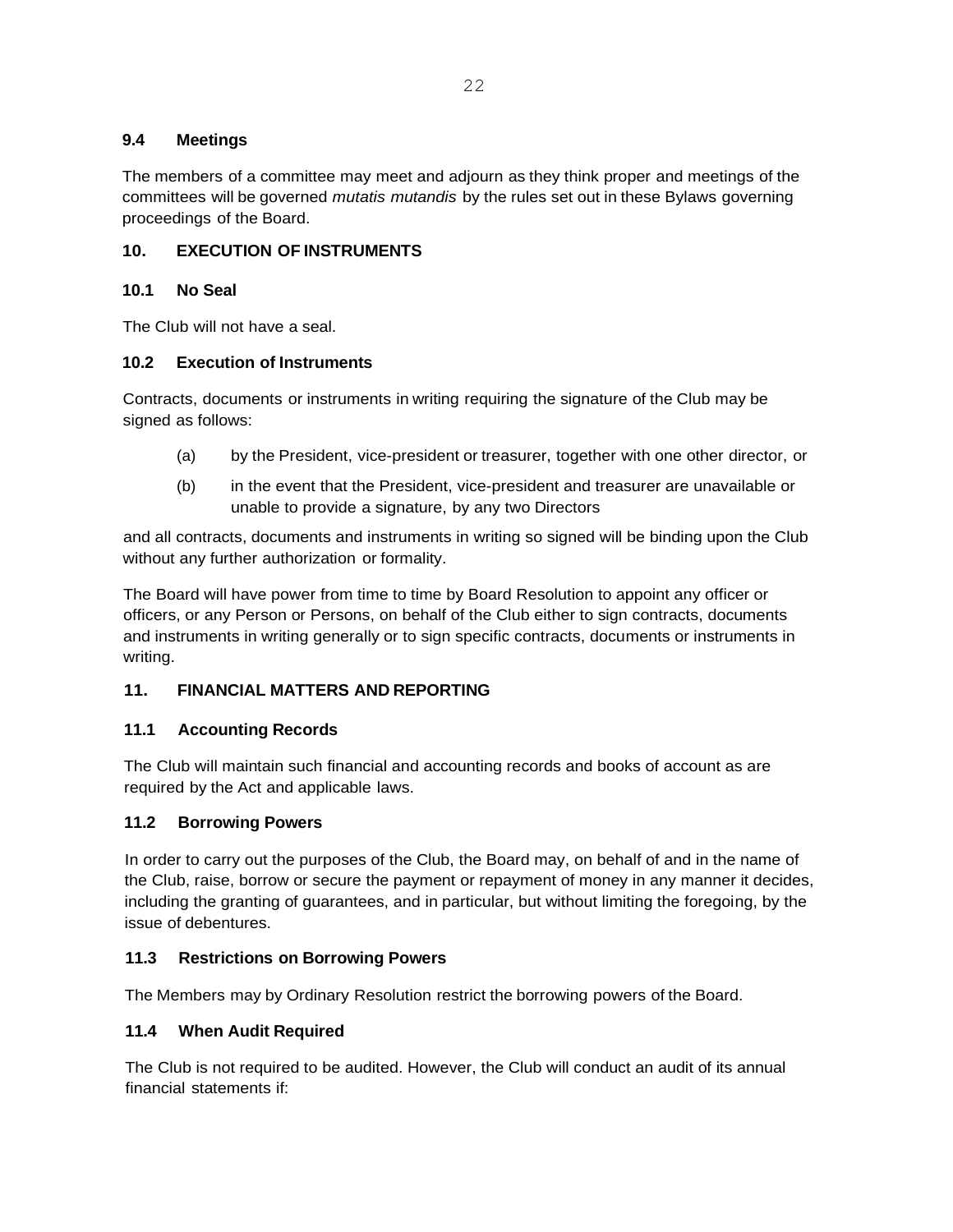## **9.4 Meetings**

The members of a committee may meet and adjourn as they think proper and meetings of the committees will be governed *mutatis mutandis* by the rules set out in these Bylaws governing proceedings of the Board.

## **10. EXECUTION OF INSTRUMENTS**

### **10.1 No Seal**

The Club will not have a seal.

### **10.2 Execution of Instruments**

Contracts, documents or instruments in writing requiring the signature of the Club may be signed as follows:

- (a) by the President, vice-president or treasurer, together with one other director, or
- (b) in the event that the President, vice-president and treasurer are unavailable or unable to provide a signature, by any two Directors

and all contracts, documents and instruments in writing so signed will be binding upon the Club without any further authorization or formality.

The Board will have power from time to time by Board Resolution to appoint any officer or officers, or any Person or Persons, on behalf of the Club either to sign contracts, documents and instruments in writing generally or to sign specific contracts, documents or instruments in writing.

## **11. FINANCIAL MATTERS AND REPORTING**

## **11.1 Accounting Records**

The Club will maintain such financial and accounting records and books of account as are required by the Act and applicable laws.

### **11.2 Borrowing Powers**

In order to carry out the purposes of the Club, the Board may, on behalf of and in the name of the Club, raise, borrow or secure the payment or repayment of money in any manner it decides, including the granting of guarantees, and in particular, but without limiting the foregoing, by the issue of debentures.

### **11.3 Restrictions on Borrowing Powers**

The Members may by Ordinary Resolution restrict the borrowing powers of the Board.

### **11.4 When Audit Required**

The Club is not required to be audited. However, the Club will conduct an audit of its annual financial statements if: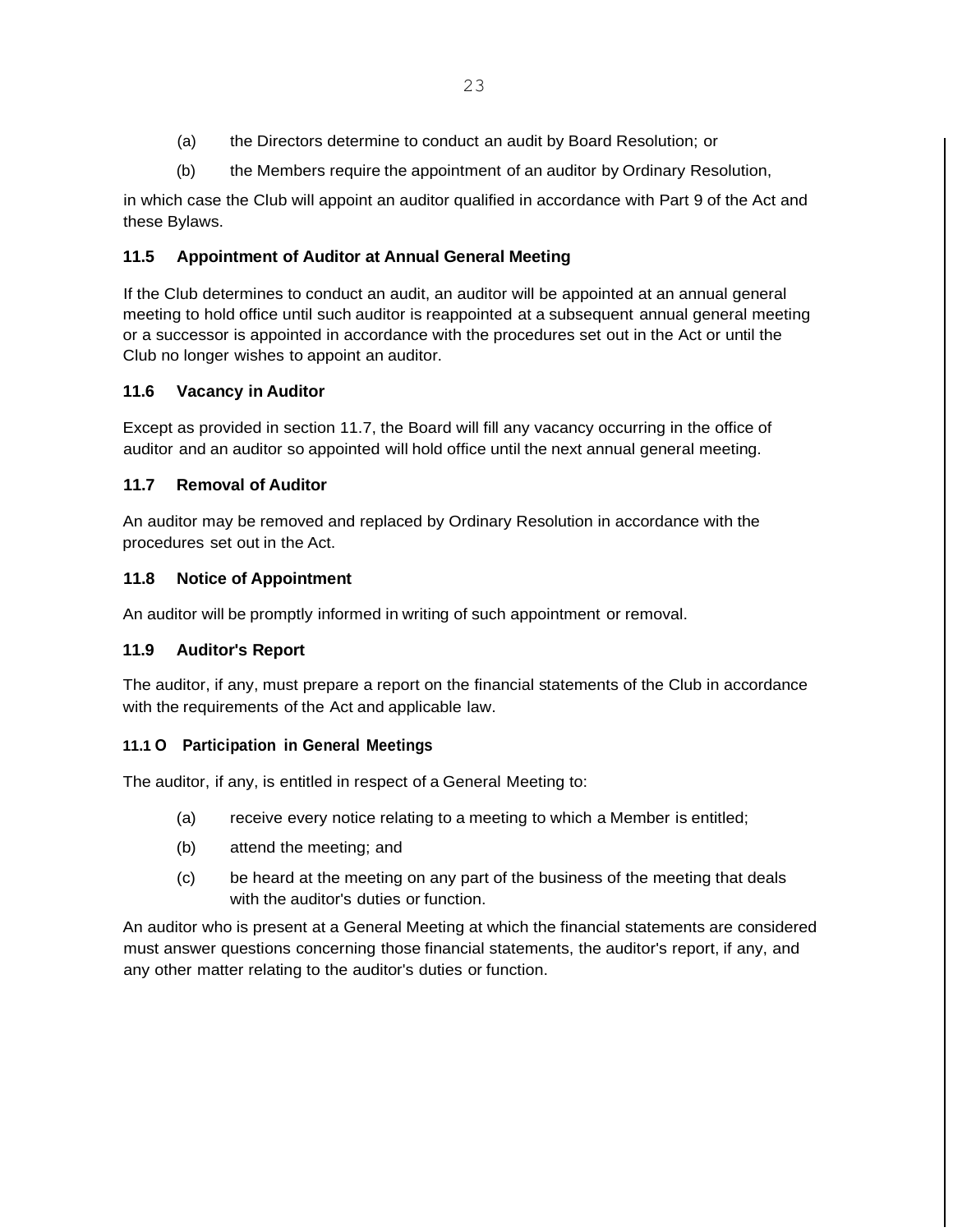- (a) the Directors determine to conduct an audit by Board Resolution; or
- (b) the Members require the appointment of an auditor by Ordinary Resolution,

in which case the Club will appoint an auditor qualified in accordance with Part 9 of the Act and these Bylaws.

## **11.5 Appointment of Auditor at Annual General Meeting**

If the Club determines to conduct an audit, an auditor will be appointed at an annual general meeting to hold office until such auditor is reappointed at a subsequent annual general meeting or a successor is appointed in accordance with the procedures set out in the Act or until the Club no longer wishes to appoint an auditor.

## **11.6 Vacancy in Auditor**

Except as provided in section 11.7, the Board will fill any vacancy occurring in the office of auditor and an auditor so appointed will hold office until the next annual general meeting.

## **11.7 Removal of Auditor**

An auditor may be removed and replaced by Ordinary Resolution in accordance with the procedures set out in the Act.

## **11.8 Notice of Appointment**

An auditor will be promptly informed in writing of such appointment or removal.

## **11.9 Auditor's Report**

The auditor, if any, must prepare a report on the financial statements of the Club in accordance with the requirements of the Act and applicable law.

### **11.1 O Participation in General Meetings**

The auditor, if any, is entitled in respect of a General Meeting to:

- (a) receive every notice relating to a meeting to which a Member is entitled;
- (b) attend the meeting; and
- (c) be heard at the meeting on any part of the business of the meeting that deals with the auditor's duties or function.

An auditor who is present at a General Meeting at which the financial statements are considered must answer questions concerning those financial statements, the auditor's report, if any, and any other matter relating to the auditor's duties or function.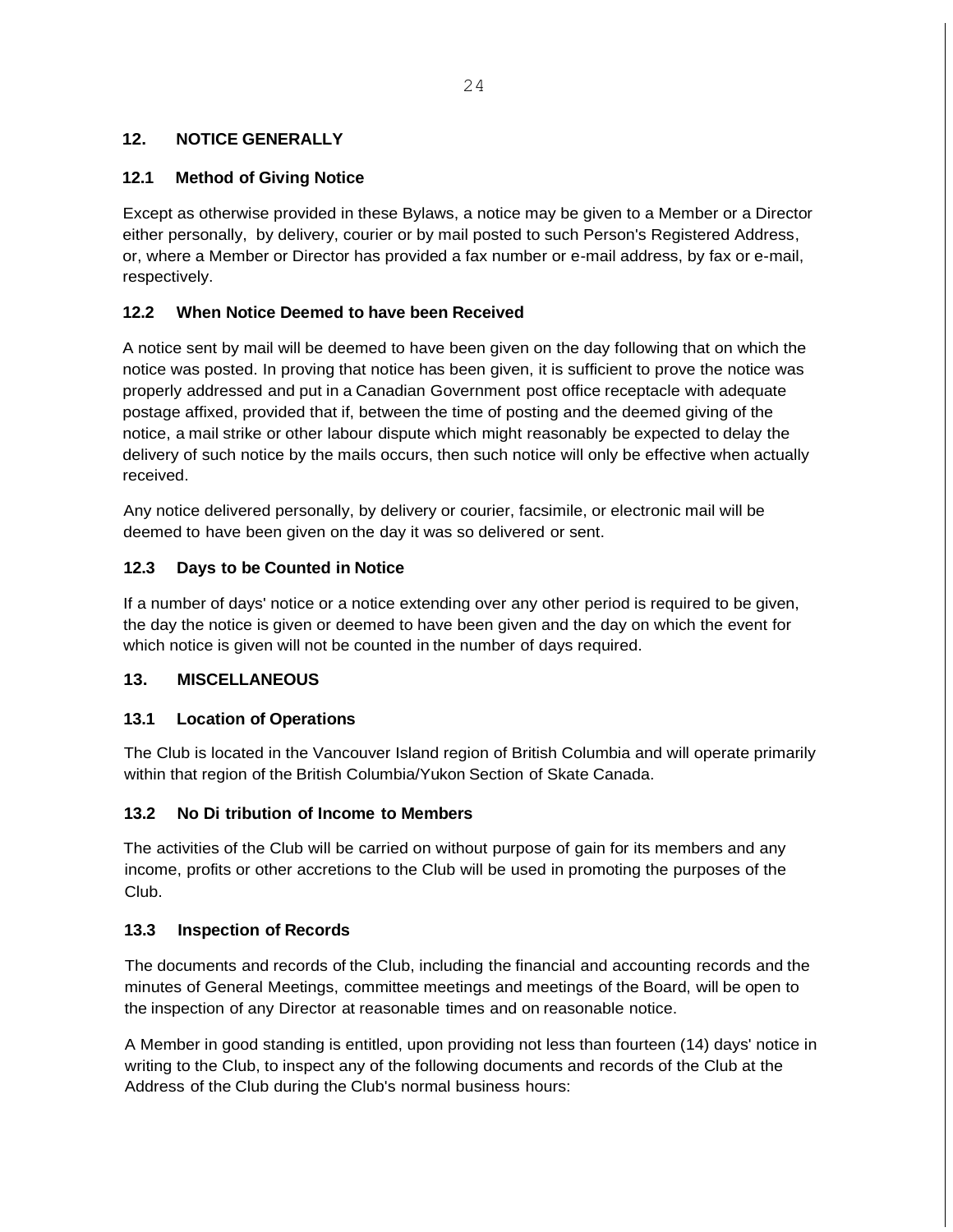## **12. NOTICE GENERALLY**

## **12.1 Method of Giving Notice**

Except as otherwise provided in these Bylaws, a notice may be given to a Member or a Director either personally, by delivery, courier or by mail posted to such Person's Registered Address, or, where a Member or Director has provided a fax number or e-mail address, by fax or e-mail, respectively.

## **12.2 When Notice Deemed to have been Received**

A notice sent by mail will be deemed to have been given on the day following that on which the notice was posted. In proving that notice has been given, it is sufficient to prove the notice was properly addressed and put in a Canadian Government post office receptacle with adequate postage affixed, provided that if, between the time of posting and the deemed giving of the notice, a mail strike or other labour dispute which might reasonably be expected to delay the delivery of such notice by the mails occurs, then such notice will only be effective when actually received.

Any notice delivered personally, by delivery or courier, facsimile, or electronic mail will be deemed to have been given on the day it was so delivered or sent.

## **12.3 Days to be Counted in Notice**

If a number of days' notice or a notice extending over any other period is required to be given, the day the notice is given or deemed to have been given and the day on which the event for which notice is given will not be counted in the number of days required.

### **13. MISCELLANEOUS**

### **13.1 Location of Operations**

The Club is located in the Vancouver Island region of British Columbia and will operate primarily within that region of the British Columbia/Yukon Section of Skate Canada.

### **13.2 No Di tribution of Income to Members**

The activities of the Club will be carried on without purpose of gain for its members and any income, profits or other accretions to the Club will be used in promoting the purposes of the Club.

### **13.3 Inspection of Records**

The documents and records of the Club, including the financial and accounting records and the minutes of General Meetings, committee meetings and meetings of the Board, will be open to the inspection of any Director at reasonable times and on reasonable notice.

A Member in good standing is entitled, upon providing not less than fourteen (14) days' notice in writing to the Club, to inspect any of the following documents and records of the Club at the Address of the Club during the Club's normal business hours: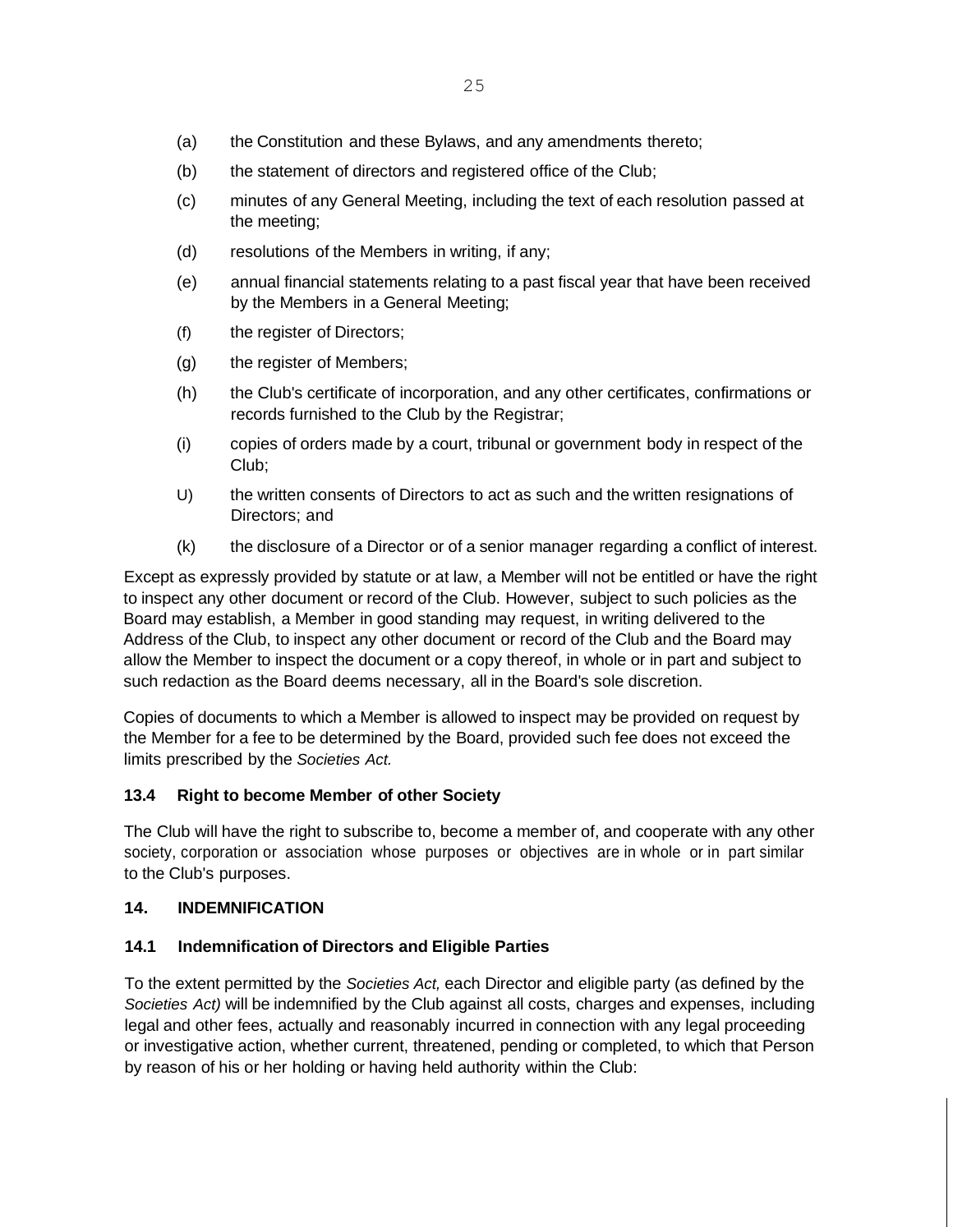- (a) the Constitution and these Bylaws, and any amendments thereto;
- (b) the statement of directors and registered office of the Club;
- (c) minutes of any General Meeting, including the text of each resolution passed at the meeting;
- (d) resolutions of the Members in writing, if any;
- (e) annual financial statements relating to a past fiscal year that have been received by the Members in a General Meeting;
- (f) the register of Directors;
- (g) the register of Members;
- (h) the Club's certificate of incorporation, and any other certificates, confirmations or records furnished to the Club by the Registrar;
- (i) copies of orders made by a court, tribunal or government body in respect of the Club;
- U) the written consents of Directors to act as such and the written resignations of Directors; and
- (k) the disclosure of a Director or of a senior manager regarding a conflict of interest.

Except as expressly provided by statute or at law, a Member will not be entitled or have the right to inspect any other document or record of the Club. However, subject to such policies as the Board may establish, a Member in good standing may request, in writing delivered to the Address of the Club, to inspect any other document or record of the Club and the Board may allow the Member to inspect the document or a copy thereof, in whole or in part and subject to such redaction as the Board deems necessary, all in the Board's sole discretion.

Copies of documents to which a Member is allowed to inspect may be provided on request by the Member for a fee to be determined by the Board, provided such fee does not exceed the limits prescribed by the *Societies Act.*

### **13.4 Right to become Member of other Society**

The Club will have the right to subscribe to, become a member of, and cooperate with any other society, corporation or association whose purposes or objectives are in whole or in part similar to the Club's purposes.

#### **14. INDEMNIFICATION**

### **14.1 Indemnification of Directors and Eligible Parties**

To the extent permitted by the *Societies Act,* each Director and eligible party (as defined by the *Societies Act)* will be indemnified by the Club against all costs, charges and expenses, including legal and other fees, actually and reasonably incurred in connection with any legal proceeding or investigative action, whether current, threatened, pending or completed, to which that Person by reason of his or her holding or having held authority within the Club: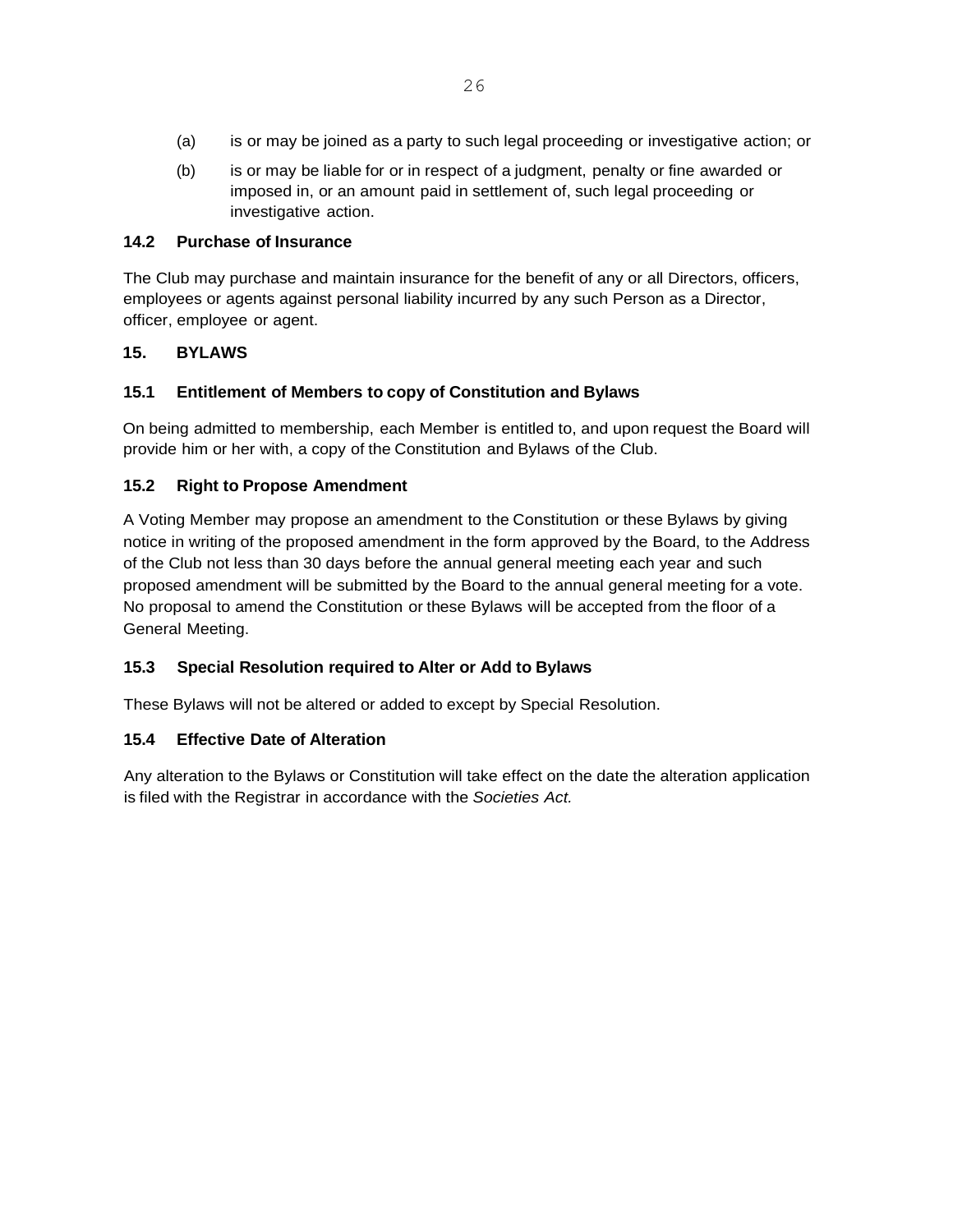- (a) is or may be joined as a party to such legal proceeding or investigative action; or
- (b) is or may be liable for or in respect of a judgment, penalty or fine awarded or imposed in, or an amount paid in settlement of, such legal proceeding or investigative action.

## **14.2 Purchase of Insurance**

The Club may purchase and maintain insurance for the benefit of any or all Directors, officers, employees or agents against personal liability incurred by any such Person as a Director, officer, employee or agent.

## **15. BYLAWS**

## **15.1 Entitlement of Members to copy of Constitution and Bylaws**

On being admitted to membership, each Member is entitled to, and upon request the Board will provide him or her with, a copy of the Constitution and Bylaws of the Club.

## **15.2 Right to Propose Amendment**

A Voting Member may propose an amendment to the Constitution or these Bylaws by giving notice in writing of the proposed amendment in the form approved by the Board, to the Address of the Club not less than 30 days before the annual general meeting each year and such proposed amendment will be submitted by the Board to the annual general meeting for a vote. No proposal to amend the Constitution or these Bylaws will be accepted from the floor of a General Meeting.

## **15.3 Special Resolution required to Alter or Add to Bylaws**

These Bylaws will not be altered or added to except by Special Resolution.

## **15.4 Effective Date of Alteration**

Any alteration to the Bylaws or Constitution will take effect on the date the alteration application is filed with the Registrar in accordance with the *Societies Act.*